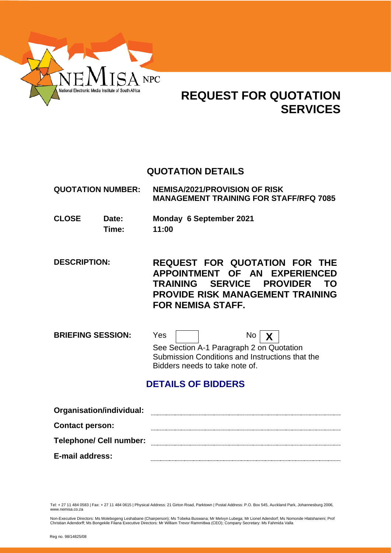

# **REQUEST FOR QUOTATION SERVICES**

# **QUOTATION DETAILS**

| <b>QUOTATION NUMBER:</b> | <b>NEMISA/2021/PROVISION OF RISK</b>          |
|--------------------------|-----------------------------------------------|
|                          | <b>MANAGEMENT TRAINING FOR STAFF/RFQ 7085</b> |

- **CLOSE Date: Monday 6 September 2021 Time: 11:00**
- **DESCRIPTION: REQUEST FOR QUOTATION FOR THE APPOINTMENT OF AN EXPERIENCED TRAINING SERVICE PROVIDER TO PROVIDE RISK MANAGEMENT TRAINING FOR NEMISA STAFF.**

**BRIEFING SESSION:** Yes  $\boxed{ }$  No  $\boxed{\chi}$ See Section A-1 Paragraph 2 on Quotation Submission Conditions and Instructions that the Bidders needs to take note of.

# **DETAILS OF BIDDERS**

| Organisation/individual:       |  |
|--------------------------------|--|
| <b>Contact person:</b>         |  |
| <b>Telephone/ Cell number:</b> |  |
| E-mail address:                |  |

Tel: + 27 11 484 0583 | Fax: + 27 11 484 0615 | Physical Address: 21 Girton Road, Parktown | Postal Address: P.O. Box 545, Auckland Park, Johannesburg 2006, www.nemisa.co.za

Non-Executive Directors: Ms Molebogeng Leshabane (Chairperson); Ms Tobeka Buswana; Mr Melvyn Lubega; Mr Lionel Adendorf; Ms Nomonde Hlatshaneni; Prof<br>Christian Adendorff; Ms Bongekile Filana Executive Directors: Mr William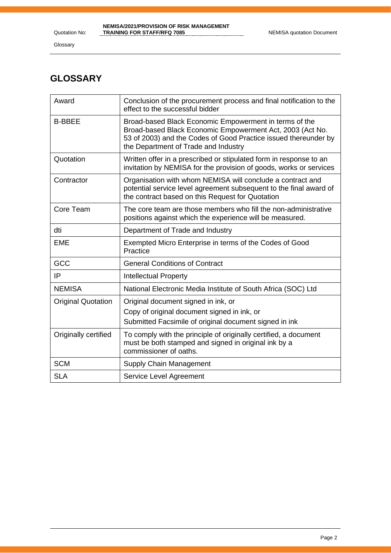Glossary

# **GLOSSARY**

| Award                     | Conclusion of the procurement process and final notification to the<br>effect to the successful bidder                                                                                                                         |
|---------------------------|--------------------------------------------------------------------------------------------------------------------------------------------------------------------------------------------------------------------------------|
| <b>B-BBEE</b>             | Broad-based Black Economic Empowerment in terms of the<br>Broad-based Black Economic Empowerment Act, 2003 (Act No.<br>53 of 2003) and the Codes of Good Practice issued thereunder by<br>the Department of Trade and Industry |
| Quotation                 | Written offer in a prescribed or stipulated form in response to an<br>invitation by NEMISA for the provision of goods, works or services                                                                                       |
| Contractor                | Organisation with whom NEMISA will conclude a contract and<br>potential service level agreement subsequent to the final award of<br>the contract based on this Request for Quotation                                           |
| Core Team                 | The core team are those members who fill the non-administrative<br>positions against which the experience will be measured.                                                                                                    |
| dti                       | Department of Trade and Industry                                                                                                                                                                                               |
| <b>EME</b>                | Exempted Micro Enterprise in terms of the Codes of Good<br>Practice                                                                                                                                                            |
| GCC                       | <b>General Conditions of Contract</b>                                                                                                                                                                                          |
| IP                        | <b>Intellectual Property</b>                                                                                                                                                                                                   |
| <b>NEMISA</b>             | National Electronic Media Institute of South Africa (SOC) Ltd                                                                                                                                                                  |
| <b>Original Quotation</b> | Original document signed in ink, or                                                                                                                                                                                            |
|                           | Copy of original document signed in ink, or                                                                                                                                                                                    |
|                           | Submitted Facsimile of original document signed in ink                                                                                                                                                                         |
| Originally certified      | To comply with the principle of originally certified, a document<br>must be both stamped and signed in original ink by a<br>commissioner of oaths.                                                                             |
| <b>SCM</b>                | Supply Chain Management                                                                                                                                                                                                        |
| <b>SLA</b>                | Service Level Agreement                                                                                                                                                                                                        |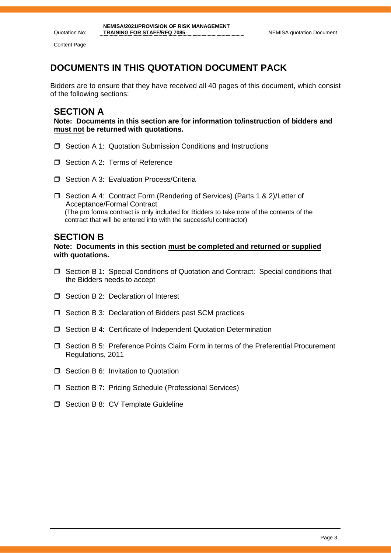Quotation No: Content Page

# **DOCUMENTS IN THIS QUOTATION DOCUMENT PACK**

Bidders are to ensure that they have received all 40 pages of this document, which consist of the following sections:

### **SECTION A**

**Note: Documents in this section are for information to/instruction of bidders and must not be returned with quotations.**

- □ Section A 1: Quotation Submission Conditions and Instructions
- Section A 2: Terms of Reference
- $\Box$  Section A 3: Evaluation Process/Criteria
- □ Section A 4: Contract Form (Rendering of Services) (Parts 1 & 2)/Letter of Acceptance/Formal Contract (The pro forma contract is only included for Bidders to take note of the contents of the contract that will be entered into with the successful contractor)

#### **SECTION B**

**Note: Documents in this section must be completed and returned or supplied with quotations.**

- Section B 1: Special Conditions of Quotation and Contract: Special conditions that the Bidders needs to accept
- □ Section B 2: Declaration of Interest
- $\Box$  Section B 3: Declaration of Bidders past SCM practices
- □ Section B 4: Certificate of Independent Quotation Determination
- Section B 5: Preference Points Claim Form in terms of the Preferential Procurement Regulations, 2011
- **T** Section B 6: Invitation to Quotation
- □ Section B 7: Pricing Schedule (Professional Services)
- $\Box$  Section B 8: CV Template Guideline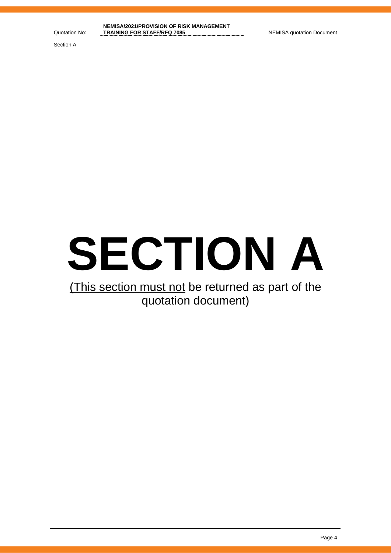Section A



# (This section must not be returned as part of the quotation document)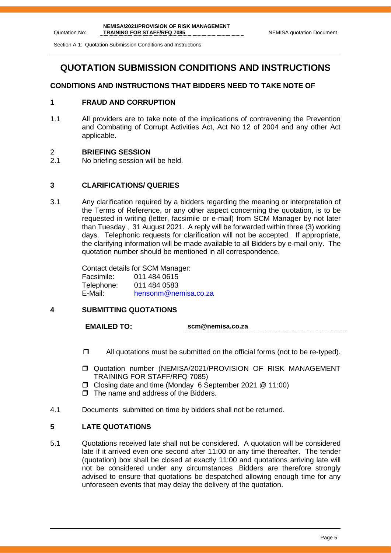Section A 1: Quotation Submission Conditions and Instructions

# **QUOTATION SUBMISSION CONDITIONS AND INSTRUCTIONS**

#### **CONDITIONS AND INSTRUCTIONS THAT BIDDERS NEED TO TAKE NOTE OF**

#### **1 FRAUD AND CORRUPTION**

1.1 All providers are to take note of the implications of contravening the Prevention and Combating of Corrupt Activities Act, Act No 12 of 2004 and any other Act applicable.

#### 2 **BRIEFING SESSION**

2.1 No briefing session will be held.

#### **3 CLARIFICATIONS/ QUERIES**

3.1 Any clarification required by a bidders regarding the meaning or interpretation of the Terms of Reference, or any other aspect concerning the quotation, is to be requested in writing (letter, facsimile or e-mail) from SCM Manager by not later than Tuesday , 31 August 2021. A reply will be forwarded within three (3) working days. Telephonic requests for clarification will not be accepted. If appropriate, the clarifying information will be made available to all Bidders by e-mail only. The quotation number should be mentioned in all correspondence.

> Contact details for SCM Manager: Facsimile: 011 484 0615 Telephone: 011 484 0583 E-Mail: [hensonm@nemisa.co.za](mailto:hensonm@nemisa.co.za)

#### **4 SUBMITTING QUOTATIONS**

**EMAILED TO: scm@nemisa.co.za**

- $\Box$  All quotations must be submitted on the official forms (not to be re-typed).
- Quotation number (NEMISA/2021/PROVISION OF RISK MANAGEMENT TRAINING FOR STAFF/RFQ 7085)
- Closing date and time (Monday 6 September 2021 @ 11:00)
- $\Box$  The name and address of the Bidders.
- 4.1 Documents submitted on time by bidders shall not be returned.

#### **5 LATE QUOTATIONS**

5.1 Quotations received late shall not be considered. A quotation will be considered late if it arrived even one second after 11:00 or any time thereafter. The tender (quotation) box shall be closed at exactly 11:00 and quotations arriving late will not be considered under any circumstances .Bidders are therefore strongly advised to ensure that quotations be despatched allowing enough time for any unforeseen events that may delay the delivery of the quotation.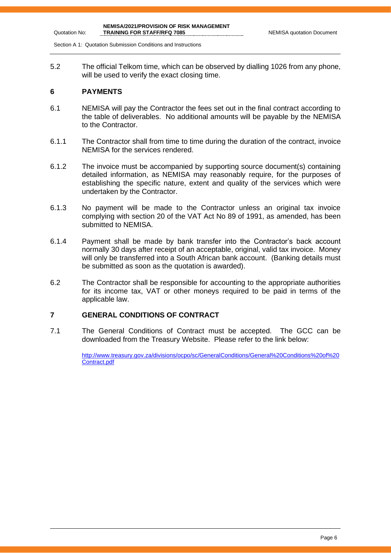Section A 1: Quotation Submission Conditions and Instructions

5.2 The official Telkom time, which can be observed by dialling 1026 from any phone, will be used to verify the exact closing time.

#### **6 PAYMENTS**

Quotation No:

- 6.1 NEMISA will pay the Contractor the fees set out in the final contract according to the table of deliverables. No additional amounts will be payable by the NEMISA to the Contractor.
- 6.1.1 The Contractor shall from time to time during the duration of the contract, invoice NEMISA for the services rendered.
- 6.1.2 The invoice must be accompanied by supporting source document(s) containing detailed information, as NEMISA may reasonably require, for the purposes of establishing the specific nature, extent and quality of the services which were undertaken by the Contractor.
- 6.1.3 No payment will be made to the Contractor unless an original tax invoice complying with section 20 of the VAT Act No 89 of 1991, as amended, has been submitted to NEMISA.
- 6.1.4 Payment shall be made by bank transfer into the Contractor's back account normally 30 days after receipt of an acceptable, original, valid tax invoice. Money will only be transferred into a South African bank account. (Banking details must be submitted as soon as the quotation is awarded).
- 6.2 The Contractor shall be responsible for accounting to the appropriate authorities for its income tax, VAT or other moneys required to be paid in terms of the applicable law.

#### **7 GENERAL CONDITIONS OF CONTRACT**

7.1 The General Conditions of Contract must be accepted. The GCC can be downloaded from the Treasury Website. Please refer to the link below:

> [http://www.treasury.gov.za/divisions/ocpo/sc/GeneralConditions/General%20Conditions%20of%20](http://www.treasury.gov.za/divisions/ocpo/sc/GeneralConditions/General%20Conditions%20of%20Contract.pdf) [Contract.pdf](http://www.treasury.gov.za/divisions/ocpo/sc/GeneralConditions/General%20Conditions%20of%20Contract.pdf)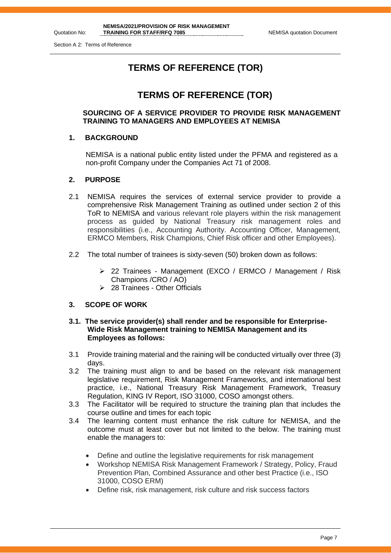Section A 2: Terms of Reference

Quotation No:

# **TERMS OF REFERENCE (TOR)**

# **TERMS OF REFERENCE (TOR)**

#### **SOURCING OF A SERVICE PROVIDER TO PROVIDE RISK MANAGEMENT TRAINING TO MANAGERS AND EMPLOYEES AT NEMISA**

#### **1. BACKGROUND**

NEMISA is a national public entity listed under the PFMA and registered as a non-profit Company under the Companies Act 71 of 2008.

#### **2. PURPOSE**

- 2.1 NEMISA requires the services of external service provider to provide a comprehensive Risk Management Training as outlined under section 2 of this ToR to NEMISA and various relevant role players within the risk management process as guided by National Treasury risk management roles and responsibilities (i.e., Accounting Authority. Accounting Officer, Management, ERMCO Members, Risk Champions, Chief Risk officer and other Employees).
- 2.2 The total number of trainees is sixty-seven (50) broken down as follows:
	- ➢ 22 Trainees Management (EXCO / ERMCO / Management / Risk Champions /CRO / AO)
	- ➢ 28 Trainees Other Officials

#### **3. SCOPE OF WORK**

#### **3.1. The service provider(s) shall render and be responsible for Enterprise-Wide Risk Management training to NEMISA Management and its Employees as follows:**

- 3.1 Provide training material and the raining will be conducted virtually over three (3) days.
- 3.2 The training must align to and be based on the relevant risk management legislative requirement, Risk Management Frameworks, and international best practice, i.e., National Treasury Risk Management Framework, Treasury Regulation, KING IV Report, ISO 31000, COSO amongst others.
- 3.3 The Facilitator will be required to structure the training plan that includes the course outline and times for each topic
- 3.4 The learning content must enhance the risk culture for NEMISA, and the outcome must at least cover but not limited to the below. The training must enable the managers to:
	- Define and outline the legislative requirements for risk management
	- Workshop NEMISA Risk Management Framework / Strategy, Policy, Fraud Prevention Plan, Combined Assurance and other best Practice (i.e., ISO 31000, COSO ERM)
	- Define risk, risk management, risk culture and risk success factors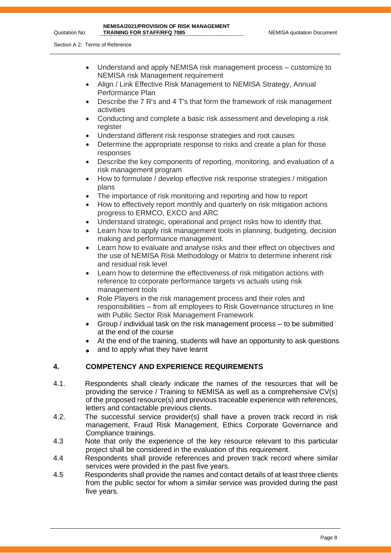- Understand and apply NEMISA risk management process customize to NEMISA risk Management requirement
- Align / Link Effective Risk Management to NEMISA Strategy, Annual Performance Plan
- Describe the 7 R's and 4 T's that form the framework of risk management activities
- Conducting and complete a basic risk assessment and developing a risk register
- Understand different risk response strategies and root causes
- Determine the appropriate response to risks and create a plan for those responses
- Describe the key components of reporting, monitoring, and evaluation of a risk management program
- How to formulate / develop effective risk response strategies / mitigation plans
- The importance of risk monitoring and reporting and how to report
- How to effectively report monthly and quarterly on risk mitigation actions progress to ERMCO, EXCO and ARC
- Understand strategic, operational and project risks how to identify that.
- Learn how to apply risk management tools in planning, budgeting, decision making and performance management.
- Learn how to evaluate and analyse risks and their effect on objectives and the use of NEMISA Risk Methodology or Matrix to determine inherent risk and residual risk level
- Learn how to determine the effectiveness of risk mitigation actions with reference to corporate performance targets vs actuals using risk management tools
- Role Players in the risk management process and their roles and responsibilities – from all employees to Risk Governance structures in line with Public Sector Risk Management Framework
- Group / individual task on the risk management process to be submitted at the end of the course
- At the end of the training, students will have an opportunity to ask questions
- and to apply what they have learnt

#### **4. COMPETENCY AND EXPERIENCE REQUIREMENTS**

- 4.1. Respondents shall clearly indicate the names of the resources that will be providing the service / Training to NEMISA as well as a comprehensive CV(s) of the proposed resource(s) and previous traceable experience with references, letters and contactable previous clients.
- 4.2. The successful service provider(s) shall have a proven track record in risk management, Fraud Risk Management, Ethics Corporate Governance and Compliance trainings.
- 4.3 Note that only the experience of the key resource relevant to this particular project shall be considered in the evaluation of this requirement.
- 4.4 Respondents shall provide references and proven track record where similar services were provided in the past five years.
- 4.5 Respondents shall provide the names and contact details of at least three clients from the public sector for whom a similar service was provided during the past five years.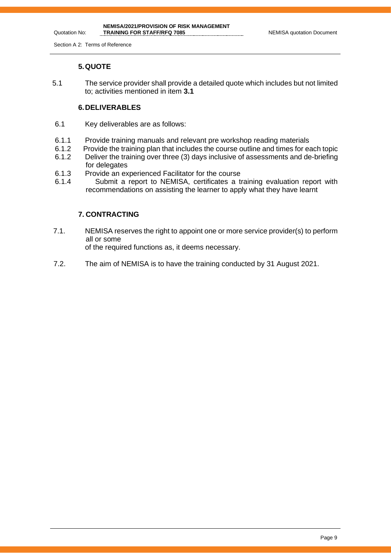Section A 2: Terms of Reference

Quotation No:

#### **5.QUOTE**

5.1 The service provider shall provide a detailed quote which includes but not limited to; activities mentioned in item **3.1**

#### **6.DELIVERABLES**

- 6.1 Key deliverables are as follows:
- 6.1.1 Provide training manuals and relevant pre workshop reading materials<br>6.1.2 Provide the training plan that includes the course outline and times for ea
- Provide the training plan that includes the course outline and times for each topic
- 6.1.2 Deliver the training over three (3) days inclusive of assessments and de-briefing for delegates
- 6.1.3 Provide an experienced Facilitator for the course
- 6.1.4 Submit a report to NEMISA, certificates a training evaluation report with recommendations on assisting the learner to apply what they have learnt

#### **7. CONTRACTING**

- 7.1. NEMISA reserves the right to appoint one or more service provider(s) to perform all or some of the required functions as, it deems necessary.
- 7.2. The aim of NEMISA is to have the training conducted by 31 August 2021.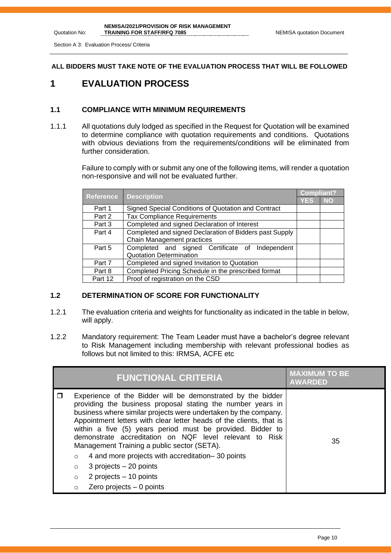Section A 3: Evaluation Process/ Criteria

Quotation No:

#### **ALL BIDDERS MUST TAKE NOTE OF THE EVALUATION PROCESS THAT WILL BE FOLLOWED**

## **1 EVALUATION PROCESS**

#### **1.1 COMPLIANCE WITH MINIMUM REQUIREMENTS**

1.1.1 All quotations duly lodged as specified in the Request for Quotation will be examined to determine compliance with quotation requirements and conditions. Quotations with obvious deviations from the requirements/conditions will be eliminated from further consideration.

> Failure to comply with or submit any one of the following items, will render a quotation non-responsive and will not be evaluated further.

| Reference |                                                         | <b>Compliant?</b> |           |
|-----------|---------------------------------------------------------|-------------------|-----------|
|           | <b>Description</b>                                      | <b>YES</b>        | <b>NO</b> |
| Part 1    | Signed Special Conditions of Quotation and Contract     |                   |           |
| Part 2    | <b>Tax Compliance Requirements</b>                      |                   |           |
| Part 3    | Completed and signed Declaration of Interest            |                   |           |
| Part 4    | Completed and signed Declaration of Bidders past Supply |                   |           |
|           | Chain Management practices                              |                   |           |
| Part 5    | Completed and signed Certificate of Independent         |                   |           |
|           | <b>Quotation Determination</b>                          |                   |           |
| Part 7    | Completed and signed Invitation to Quotation            |                   |           |
| Part 8    | Completed Pricing Schedule in the prescribed format     |                   |           |
| Part 12   | Proof of registration on the CSD                        |                   |           |

#### **1.2 DETERMINATION OF SCORE FOR FUNCTIONALITY**

- 1.2.1 The evaluation criteria and weights for functionality as indicated in the table in below, will apply.
- 1.2.2 Mandatory requirement: The Team Leader must have a bachelor's degree relevant to Risk Management including membership with relevant professional bodies as follows but not limited to this: IRMSA, ACFE etc

|                                               | <b>FUNCTIONAL CRITERIA</b>                                                                                                                                                                                                                                                                                                                                                                                                                                                                                                                                                            | <b>MAXIMUM TO BE</b><br><b>AWARDED</b> |
|-----------------------------------------------|---------------------------------------------------------------------------------------------------------------------------------------------------------------------------------------------------------------------------------------------------------------------------------------------------------------------------------------------------------------------------------------------------------------------------------------------------------------------------------------------------------------------------------------------------------------------------------------|----------------------------------------|
| ⊓<br>$\circ$<br>$\circ$<br>$\circ$<br>$\circ$ | Experience of the Bidder will be demonstrated by the bidder<br>providing the business proposal stating the number years in<br>business where similar projects were undertaken by the company.<br>Appointment letters with clear letter heads of the clients, that is<br>within a five (5) years period must be provided. Bidder to<br>demonstrate accreditation on NQF level relevant to Risk<br>Management Training a public sector (SETA).<br>4 and more projects with accreditation–30 points<br>$3$ projects $-20$ points<br>2 projects $-10$ points<br>Zero projects $-0$ points | 35                                     |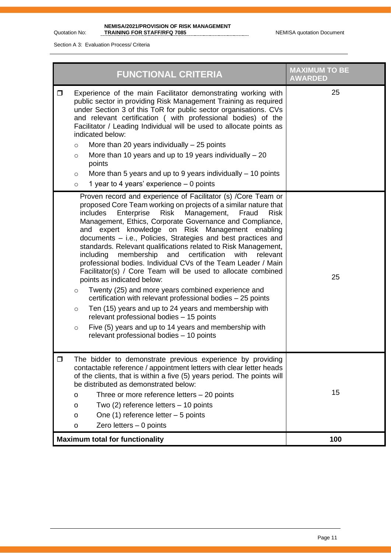#### **NEMISA/2021/PROVISION OF RISK MANAGEMENT TRAINING FOR STAFF/RFQ 7085** NEMISA quotation Document

Section A 3: Evaluation Process/ Criteria

| <b>FUNCTIONAL CRITERIA</b>                                                                                                                                                                                                                                                                                                                                                                                                                                                                                                                                                                                                                                                                                                                                                                                                                                                                                                                                                                                                                                         | <b>MAXIMUM TO BE</b><br><b>AWARDED</b> |
|--------------------------------------------------------------------------------------------------------------------------------------------------------------------------------------------------------------------------------------------------------------------------------------------------------------------------------------------------------------------------------------------------------------------------------------------------------------------------------------------------------------------------------------------------------------------------------------------------------------------------------------------------------------------------------------------------------------------------------------------------------------------------------------------------------------------------------------------------------------------------------------------------------------------------------------------------------------------------------------------------------------------------------------------------------------------|----------------------------------------|
| Experience of the main Facilitator demonstrating working with<br>$\Box$<br>public sector in providing Risk Management Training as required<br>under Section 3 of this ToR for public sector organisations. CVs<br>and relevant certification (with professional bodies) of the<br>Facilitator / Leading Individual will be used to allocate points as<br>indicated below:<br>More than 20 years individually $-25$ points<br>$\circ$<br>More than 10 years and up to 19 years individually $-20$<br>$\circ$<br>points<br>More than 5 years and up to 9 years individually $-$ 10 points<br>$\circ$<br>1 year to 4 years' experience $-$ 0 points<br>$\circ$                                                                                                                                                                                                                                                                                                                                                                                                        | 25                                     |
| Proven record and experience of Facilitator (s) /Core Team or<br>proposed Core Team working on projects of a similar nature that<br>includes<br>Enterprise<br>Risk<br>Management,<br>Fraud<br><b>Risk</b><br>Management, Ethics, Corporate Governance and Compliance,<br>and expert knowledge on Risk Management enabling<br>documents - i.e., Policies, Strategies and best practices and<br>standards. Relevant qualifications related to Risk Management,<br>membership<br>certification<br>including<br>and<br>with<br>relevant<br>professional bodies. Individual CVs of the Team Leader / Main<br>Facilitator(s) / Core Team will be used to allocate combined<br>points as indicated below:<br>Twenty (25) and more years combined experience and<br>$\circ$<br>certification with relevant professional bodies - 25 points<br>Ten (15) years and up to 24 years and membership with<br>$\circ$<br>relevant professional bodies - 15 points<br>Five (5) years and up to 14 years and membership with<br>$\circ$<br>relevant professional bodies - 10 points | 25                                     |
| $\Box$<br>The bidder to demonstrate previous experience by providing<br>contactable reference / appointment letters with clear letter heads<br>of the clients, that is within a five (5) years period. The points will<br>be distributed as demonstrated below:<br>Three or more reference letters - 20 points<br>o<br>Two $(2)$ reference letters $-10$ points<br>o<br>One $(1)$ reference letter $-5$ points<br>o<br>Zero letters $-0$ points<br>o                                                                                                                                                                                                                                                                                                                                                                                                                                                                                                                                                                                                               | 15                                     |
| <b>Maximum total for functionality</b>                                                                                                                                                                                                                                                                                                                                                                                                                                                                                                                                                                                                                                                                                                                                                                                                                                                                                                                                                                                                                             | 100                                    |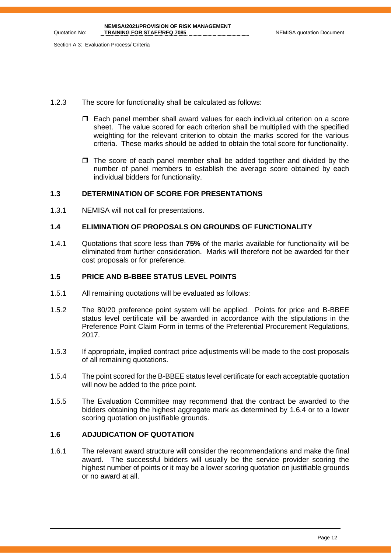- 1.2.3 The score for functionality shall be calculated as follows:
	- $\Box$  Each panel member shall award values for each individual criterion on a score sheet. The value scored for each criterion shall be multiplied with the specified weighting for the relevant criterion to obtain the marks scored for the various criteria. These marks should be added to obtain the total score for functionality.
	- $\Box$  The score of each panel member shall be added together and divided by the number of panel members to establish the average score obtained by each individual bidders for functionality.

#### **1.3 DETERMINATION OF SCORE FOR PRESENTATIONS**

1.3.1 NEMISA will not call for presentations.

#### **1.4 ELIMINATION OF PROPOSALS ON GROUNDS OF FUNCTIONALITY**

1.4.1 Quotations that score less than **75%** of the marks available for functionality will be eliminated from further consideration. Marks will therefore not be awarded for their cost proposals or for preference.

#### **1.5 PRICE AND B-BBEE STATUS LEVEL POINTS**

- 1.5.1 All remaining quotations will be evaluated as follows:
- 1.5.2 The 80/20 preference point system will be applied. Points for price and B-BBEE status level certificate will be awarded in accordance with the stipulations in the Preference Point Claim Form in terms of the Preferential Procurement Regulations, 2017.
- 1.5.3 If appropriate, implied contract price adjustments will be made to the cost proposals of all remaining quotations.
- 1.5.4 The point scored for the B-BBEE status level certificate for each acceptable quotation will now be added to the price point.
- 1.5.5 The Evaluation Committee may recommend that the contract be awarded to the bidders obtaining the highest aggregate mark as determined by 1.6.4 or to a lower scoring quotation on justifiable grounds.

#### **1.6 ADJUDICATION OF QUOTATION**

1.6.1 The relevant award structure will consider the recommendations and make the final award. The successful bidders will usually be the service provider scoring the highest number of points or it may be a lower scoring quotation on justifiable grounds or no award at all.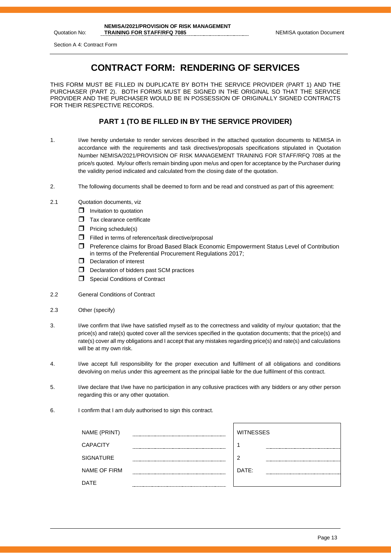Section A 4: Contract Form

Quotation No:

# **CONTRACT FORM: RENDERING OF SERVICES**

THIS FORM MUST BE FILLED IN DUPLICATE BY BOTH THE SERVICE PROVIDER (PART 1) AND THE PURCHASER (PART 2). BOTH FORMS MUST BE SIGNED IN THE ORIGINAL SO THAT THE SERVICE PROVIDER AND THE PURCHASER WOULD BE IN POSSESSION OF ORIGINALLY SIGNED CONTRACTS FOR THEIR RESPECTIVE RECORDS.

#### **PART 1 (TO BE FILLED IN BY THE SERVICE PROVIDER)**

- 1. I/we hereby undertake to render services described in the attached quotation documents to NEMISA in accordance with the requirements and task directives/proposals specifications stipulated in Quotation Number NEMISA/2021/PROVISION OF RISK MANAGEMENT TRAINING FOR STAFF/RFQ 7085 at the price/s quoted. My/our offer/s remain binding upon me/us and open for acceptance by the Purchaser during the validity period indicated and calculated from the closing date of the quotation.
- 2. The following documents shall be deemed to form and be read and construed as part of this agreement:
- 2.1 Quotation documents, viz
	- $\Box$  Invitation to quotation
	- $\Box$  Tax clearance certificate
	- $\Box$  Pricing schedule(s)
	- $\Box$  Filled in terms of reference/task directive/proposal
	- Preference claims for Broad Based Black Economic Empowerment Status Level of Contribution in terms of the Preferential Procurement Regulations 2017;
	- D Declaration of interest
	- D Declaration of bidders past SCM practices
	- $\Box$  Special Conditions of Contract
- 2.2 General Conditions of Contract
- 2.3 Other (specify)
- 3. I/we confirm that I/we have satisfied myself as to the correctness and validity of my/our quotation; that the price(s) and rate(s) quoted cover all the services specified in the quotation documents; that the price(s) and rate(s) cover all my obligations and I accept that any mistakes regarding price(s) and rate(s) and calculations will be at my own risk.
- 4. I/we accept full responsibility for the proper execution and fulfilment of all obligations and conditions devolving on me/us under this agreement as the principal liable for the due fulfilment of this contract.
- 5. I/we declare that I/we have no participation in any collusive practices with any bidders or any other person regarding this or any other quotation.
- 6. I confirm that I am duly authorised to sign this contract.

| NAME (PRINT)        | <b>WITNESSES</b> |
|---------------------|------------------|
| <b>CAPACITY</b>     |                  |
| <b>SIGNATURE</b>    | າ                |
| <b>NAME OF FIRM</b> | DATE:            |
| DATE                |                  |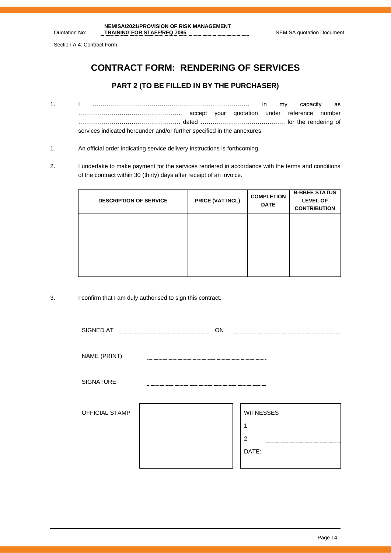# **CONTRACT FORM: RENDERING OF SERVICES**

#### **PART 2 (TO BE FILLED IN BY THE PURCHASER)**

- 1. I ……………………………………………………..……………… in my capacity as …………………………………………….. accept your quotation under reference number ……………………………………………. dated ……………………………………. for the rendering of services indicated hereunder and/or further specified in the annexures.
- 1. An official order indicating service delivery instructions is forthcoming.
- 2. I undertake to make payment for the services rendered in accordance with the terms and conditions of the contract within 30 (thirty) days after receipt of an invoice.

| <b>DESCRIPTION OF SERVICE</b> | PRICE (VAT INCL) | <b>COMPLETION</b><br><b>DATE</b> | <b>B-BBEE STATUS</b><br><b>LEVEL OF</b><br><b>CONTRIBUTION</b> |
|-------------------------------|------------------|----------------------------------|----------------------------------------------------------------|
|                               |                  |                                  |                                                                |

3. I confirm that I am duly authorised to sign this contract.

| SIGNED AT             | ON |                  |
|-----------------------|----|------------------|
|                       |    |                  |
| NAME (PRINT)          |    |                  |
| <b>SIGNATURE</b>      |    |                  |
| <b>OFFICIAL STAMP</b> |    | <b>WITNESSES</b> |
|                       |    | $\overline{2}$   |
|                       |    | DATE:            |
|                       |    |                  |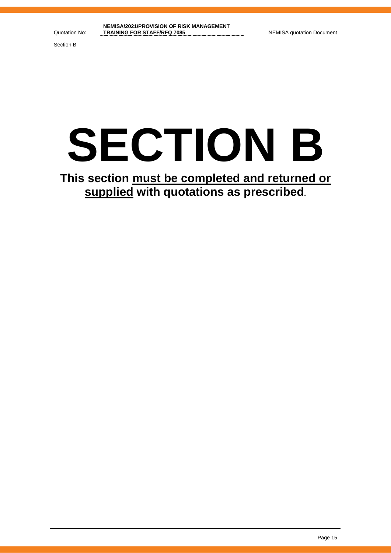Section B

# **SECTION B**

**This section must be completed and returned or supplied with quotations as prescribed.**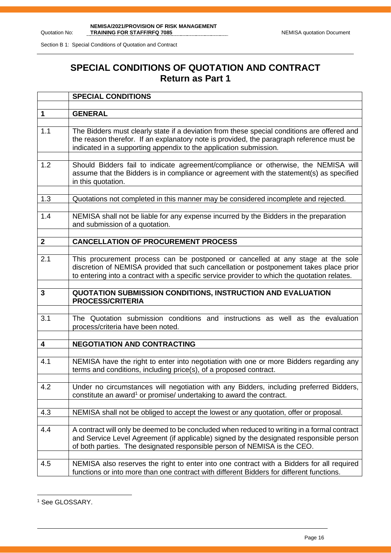Section B 1: Special Conditions of Quotation and Contract

# **SPECIAL CONDITIONS OF QUOTATION AND CONTRACT Return as Part 1**

|              | <b>SPECIAL CONDITIONS</b>                                                                                                                                                                                                                                                 |
|--------------|---------------------------------------------------------------------------------------------------------------------------------------------------------------------------------------------------------------------------------------------------------------------------|
|              |                                                                                                                                                                                                                                                                           |
| $\mathbf 1$  | <b>GENERAL</b>                                                                                                                                                                                                                                                            |
| 1.1          | The Bidders must clearly state if a deviation from these special conditions are offered and<br>the reason therefor. If an explanatory note is provided, the paragraph reference must be<br>indicated in a supporting appendix to the application submission.              |
| 1.2          | Should Bidders fail to indicate agreement/compliance or otherwise, the NEMISA will<br>assume that the Bidders is in compliance or agreement with the statement(s) as specified<br>in this quotation.                                                                      |
| 1.3          | Quotations not completed in this manner may be considered incomplete and rejected.                                                                                                                                                                                        |
| 1.4          | NEMISA shall not be liable for any expense incurred by the Bidders in the preparation<br>and submission of a quotation.                                                                                                                                                   |
| $\mathbf{2}$ | <b>CANCELLATION OF PROCUREMENT PROCESS</b>                                                                                                                                                                                                                                |
|              |                                                                                                                                                                                                                                                                           |
| 2.1          | This procurement process can be postponed or cancelled at any stage at the sole<br>discretion of NEMISA provided that such cancellation or postponement takes place prior<br>to entering into a contract with a specific service provider to which the quotation relates. |
|              |                                                                                                                                                                                                                                                                           |
| 3            | QUOTATION SUBMISSION CONDITIONS, INSTRUCTION AND EVALUATION<br><b>PROCESS/CRITERIA</b>                                                                                                                                                                                    |
| 3.1          | The Quotation submission conditions and instructions as well as the evaluation<br>process/criteria have been noted.                                                                                                                                                       |
| 4            | <b>NEGOTIATION AND CONTRACTING</b>                                                                                                                                                                                                                                        |
|              |                                                                                                                                                                                                                                                                           |
| 4.1          | NEMISA have the right to enter into negotiation with one or more Bidders regarding any<br>terms and conditions, including price(s), of a proposed contract.                                                                                                               |
| 4.2          | Under no circumstances will negotiation with any Bidders, including preferred Bidders,<br>constitute an award <sup>1</sup> or promise/ undertaking to award the contract.                                                                                                 |
| 4.3          | NEMISA shall not be obliged to accept the lowest or any quotation, offer or proposal.                                                                                                                                                                                     |
| 4.4          | A contract will only be deemed to be concluded when reduced to writing in a formal contract<br>and Service Level Agreement (if applicable) signed by the designated responsible person<br>of both parties. The designated responsible person of NEMISA is the CEO.        |
| 4.5          | NEMISA also reserves the right to enter into one contract with a Bidders for all required<br>functions or into more than one contract with different Bidders for different functions.                                                                                     |

<sup>&</sup>lt;sup>1</sup> See GLOSSARY.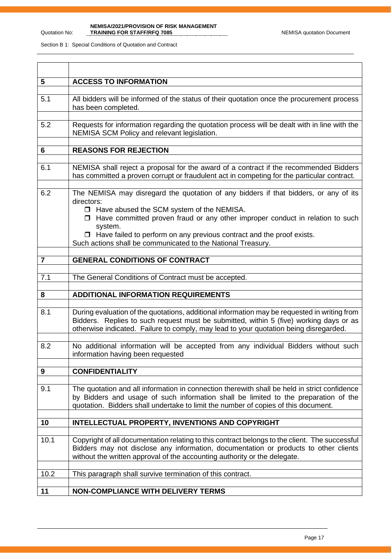#### **NEMISA/2021/PROVISION OF RISK MANAGEMENT TRAINING FOR STAFF/RFQ 7085** NEMISA quotation Document

| 5              | <b>ACCESS TO INFORMATION</b>                                                                                                                                                                                                                                                                                                                                                                         |
|----------------|------------------------------------------------------------------------------------------------------------------------------------------------------------------------------------------------------------------------------------------------------------------------------------------------------------------------------------------------------------------------------------------------------|
| 5.1            | All bidders will be informed of the status of their quotation once the procurement process<br>has been completed.                                                                                                                                                                                                                                                                                    |
| 5.2            | Requests for information regarding the quotation process will be dealt with in line with the<br>NEMISA SCM Policy and relevant legislation.                                                                                                                                                                                                                                                          |
| 6              | <b>REASONS FOR REJECTION</b>                                                                                                                                                                                                                                                                                                                                                                         |
| 6.1            | NEMISA shall reject a proposal for the award of a contract if the recommended Bidders<br>has committed a proven corrupt or fraudulent act in competing for the particular contract.                                                                                                                                                                                                                  |
| 6.2            | The NEMISA may disregard the quotation of any bidders if that bidders, or any of its<br>directors:<br>□ Have abused the SCM system of the NEMISA.<br>$\Box$ Have committed proven fraud or any other improper conduct in relation to such<br>system.<br>$\Box$ Have failed to perform on any previous contract and the proof exists.<br>Such actions shall be communicated to the National Treasury. |
| $\overline{7}$ | <b>GENERAL CONDITIONS OF CONTRACT</b>                                                                                                                                                                                                                                                                                                                                                                |
|                |                                                                                                                                                                                                                                                                                                                                                                                                      |
| 7.1            | The General Conditions of Contract must be accepted.                                                                                                                                                                                                                                                                                                                                                 |
| 8              | <b>ADDITIONAL INFORMATION REQUIREMENTS</b>                                                                                                                                                                                                                                                                                                                                                           |
| 8.1            | During evaluation of the quotations, additional information may be requested in writing from<br>Bidders. Replies to such request must be submitted, within 5 (five) working days or as<br>otherwise indicated. Failure to comply, may lead to your quotation being disregarded.                                                                                                                      |
| 8.2            | No additional information will be accepted from any individual Bidders without such<br>information having been requested                                                                                                                                                                                                                                                                             |
| 9              | <b>CONFIDENTIALITY</b>                                                                                                                                                                                                                                                                                                                                                                               |
| 9.1            | The quotation and all information in connection therewith shall be held in strict confidence<br>by Bidders and usage of such information shall be limited to the preparation of the<br>quotation. Bidders shall undertake to limit the number of copies of this document.                                                                                                                            |
| 10             | INTELLECTUAL PROPERTY, INVENTIONS AND COPYRIGHT                                                                                                                                                                                                                                                                                                                                                      |
| 10.1           | Copyright of all documentation relating to this contract belongs to the client. The successful<br>Bidders may not disclose any information, documentation or products to other clients<br>without the written approval of the accounting authority or the delegate.                                                                                                                                  |
| 10.2           | This paragraph shall survive termination of this contract.                                                                                                                                                                                                                                                                                                                                           |
| 11             | <b>NON-COMPLIANCE WITH DELIVERY TERMS</b>                                                                                                                                                                                                                                                                                                                                                            |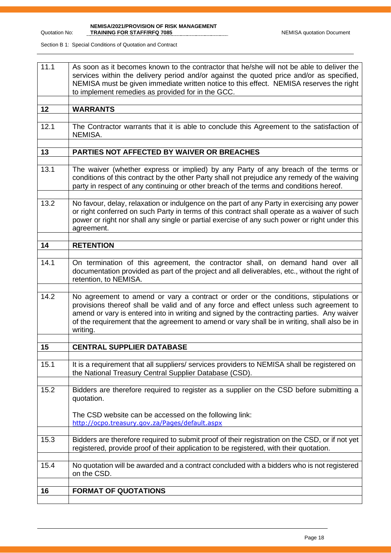**NEMISA/2021/PROVISION OF RISK MANAGEMENT** 

| 11.1 | As soon as it becomes known to the contractor that he/she will not be able to deliver the<br>services within the delivery period and/or against the quoted price and/or as specified,<br>NEMISA must be given immediate written notice to this effect. NEMISA reserves the right<br>to implement remedies as provided for in the GCC.                                                    |
|------|------------------------------------------------------------------------------------------------------------------------------------------------------------------------------------------------------------------------------------------------------------------------------------------------------------------------------------------------------------------------------------------|
| 12   | <b>WARRANTS</b>                                                                                                                                                                                                                                                                                                                                                                          |
| 12.1 | The Contractor warrants that it is able to conclude this Agreement to the satisfaction of<br>NEMISA.                                                                                                                                                                                                                                                                                     |
| 13   | PARTIES NOT AFFECTED BY WAIVER OR BREACHES                                                                                                                                                                                                                                                                                                                                               |
|      |                                                                                                                                                                                                                                                                                                                                                                                          |
| 13.1 | The waiver (whether express or implied) by any Party of any breach of the terms or<br>conditions of this contract by the other Party shall not prejudice any remedy of the waiving<br>party in respect of any continuing or other breach of the terms and conditions hereof.                                                                                                             |
| 13.2 | No favour, delay, relaxation or indulgence on the part of any Party in exercising any power<br>or right conferred on such Party in terms of this contract shall operate as a waiver of such<br>power or right nor shall any single or partial exercise of any such power or right under this<br>agreement.                                                                               |
| 14   | <b>RETENTION</b>                                                                                                                                                                                                                                                                                                                                                                         |
|      |                                                                                                                                                                                                                                                                                                                                                                                          |
| 14.1 | On termination of this agreement, the contractor shall, on demand hand over all<br>documentation provided as part of the project and all deliverables, etc., without the right of<br>retention, to NEMISA.                                                                                                                                                                               |
| 14.2 | No agreement to amend or vary a contract or order or the conditions, stipulations or<br>provisions thereof shall be valid and of any force and effect unless such agreement to<br>amend or vary is entered into in writing and signed by the contracting parties. Any waiver<br>of the requirement that the agreement to amend or vary shall be in writing, shall also be in<br>writing. |
| 15   | <b>CENTRAL SUPPLIER DATABASE</b>                                                                                                                                                                                                                                                                                                                                                         |
|      |                                                                                                                                                                                                                                                                                                                                                                                          |
| 15.1 | It is a requirement that all suppliers/ services providers to NEMISA shall be registered on<br>the National Treasury Central Supplier Database (CSD).                                                                                                                                                                                                                                    |
| 15.2 | Bidders are therefore required to register as a supplier on the CSD before submitting a<br>quotation.<br>The CSD website can be accessed on the following link:                                                                                                                                                                                                                          |
|      | http://ocpo.treasury.gov.za/Pages/default.aspx                                                                                                                                                                                                                                                                                                                                           |
| 15.3 | Bidders are therefore required to submit proof of their registration on the CSD, or if not yet<br>registered, provide proof of their application to be registered, with their quotation.                                                                                                                                                                                                 |
| 15.4 | No quotation will be awarded and a contract concluded with a bidders who is not registered<br>on the CSD.                                                                                                                                                                                                                                                                                |
|      |                                                                                                                                                                                                                                                                                                                                                                                          |
| 16   | <b>FORMAT OF QUOTATIONS</b>                                                                                                                                                                                                                                                                                                                                                              |
|      |                                                                                                                                                                                                                                                                                                                                                                                          |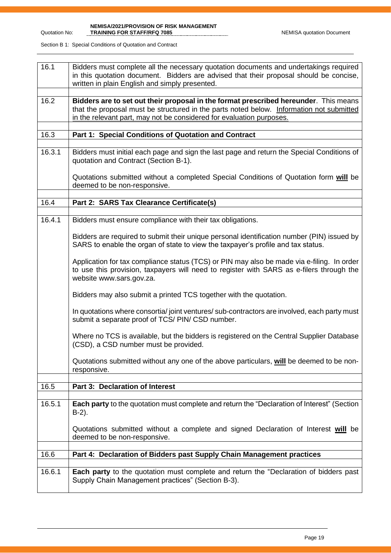**NEMISA/2021/PROVISION OF RISK MANAGEMENT TRAINING FOR STAFF/RFQ 7085** NEMISA quotation Document

| 16.1   | Bidders must complete all the necessary quotation documents and undertakings required<br>in this quotation document. Bidders are advised that their proposal should be concise,<br>written in plain English and simply presented.                        |  |  |  |  |
|--------|----------------------------------------------------------------------------------------------------------------------------------------------------------------------------------------------------------------------------------------------------------|--|--|--|--|
| 16.2   | Bidders are to set out their proposal in the format prescribed hereunder. This means<br>that the proposal must be structured in the parts noted below. Information not submitted<br>in the relevant part, may not be considered for evaluation purposes. |  |  |  |  |
| 16.3   | Part 1: Special Conditions of Quotation and Contract                                                                                                                                                                                                     |  |  |  |  |
| 16.3.1 | Bidders must initial each page and sign the last page and return the Special Conditions of<br>quotation and Contract (Section B-1).                                                                                                                      |  |  |  |  |
|        | Quotations submitted without a completed Special Conditions of Quotation form will be<br>deemed to be non-responsive.                                                                                                                                    |  |  |  |  |
| 16.4   | Part 2: SARS Tax Clearance Certificate(s)                                                                                                                                                                                                                |  |  |  |  |
| 16.4.1 | Bidders must ensure compliance with their tax obligations.                                                                                                                                                                                               |  |  |  |  |
|        | Bidders are required to submit their unique personal identification number (PIN) issued by<br>SARS to enable the organ of state to view the taxpayer's profile and tax status.                                                                           |  |  |  |  |
|        | Application for tax compliance status (TCS) or PIN may also be made via e-filing. In order<br>to use this provision, taxpayers will need to register with SARS as e-filers through the<br>website www.sars.gov.za.                                       |  |  |  |  |
|        | Bidders may also submit a printed TCS together with the quotation.                                                                                                                                                                                       |  |  |  |  |
|        | In quotations where consortia/joint ventures/sub-contractors are involved, each party must<br>submit a separate proof of TCS/ PIN/ CSD number.                                                                                                           |  |  |  |  |
|        | Where no TCS is available, but the bidders is registered on the Central Supplier Database<br>(CSD), a CSD number must be provided.                                                                                                                       |  |  |  |  |
|        | Quotations submitted without any one of the above particulars, will be deemed to be non-<br>responsive.                                                                                                                                                  |  |  |  |  |
| 16.5   | Part 3: Declaration of Interest                                                                                                                                                                                                                          |  |  |  |  |
| 16.5.1 | Each party to the quotation must complete and return the "Declaration of Interest" (Section<br>$B-2$ ).                                                                                                                                                  |  |  |  |  |
|        | Quotations submitted without a complete and signed Declaration of Interest will be<br>deemed to be non-responsive.                                                                                                                                       |  |  |  |  |
| 16.6   | Part 4: Declaration of Bidders past Supply Chain Management practices                                                                                                                                                                                    |  |  |  |  |
| 16.6.1 | Each party to the quotation must complete and return the "Declaration of bidders past<br>Supply Chain Management practices" (Section B-3).                                                                                                               |  |  |  |  |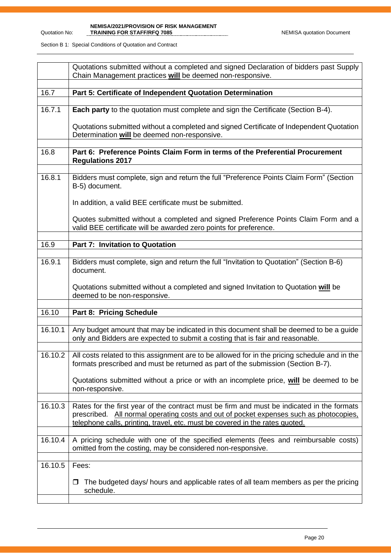|         | Quotations submitted without a completed and signed Declaration of bidders past Supply<br>Chain Management practices will be deemed non-responsive.                                                                                                                  |  |  |  |  |
|---------|----------------------------------------------------------------------------------------------------------------------------------------------------------------------------------------------------------------------------------------------------------------------|--|--|--|--|
| 16.7    | Part 5: Certificate of Independent Quotation Determination                                                                                                                                                                                                           |  |  |  |  |
| 16.7.1  | <b>Each party</b> to the quotation must complete and sign the Certificate (Section B-4).                                                                                                                                                                             |  |  |  |  |
|         | Quotations submitted without a completed and signed Certificate of Independent Quotation<br>Determination will be deemed non-responsive.                                                                                                                             |  |  |  |  |
| 16.8    | Part 6: Preference Points Claim Form in terms of the Preferential Procurement<br><b>Regulations 2017</b>                                                                                                                                                             |  |  |  |  |
| 16.8.1  | Bidders must complete, sign and return the full "Preference Points Claim Form" (Section<br>B-5) document.                                                                                                                                                            |  |  |  |  |
|         | In addition, a valid BEE certificate must be submitted.                                                                                                                                                                                                              |  |  |  |  |
|         | Quotes submitted without a completed and signed Preference Points Claim Form and a<br>valid BEE certificate will be awarded zero points for preference.                                                                                                              |  |  |  |  |
| 16.9    | <b>Part 7: Invitation to Quotation</b>                                                                                                                                                                                                                               |  |  |  |  |
| 16.9.1  | Bidders must complete, sign and return the full "Invitation to Quotation" (Section B-6)<br>document.                                                                                                                                                                 |  |  |  |  |
|         | Quotations submitted without a completed and signed Invitation to Quotation will be<br>deemed to be non-responsive.                                                                                                                                                  |  |  |  |  |
| 16.10   | Part 8: Pricing Schedule                                                                                                                                                                                                                                             |  |  |  |  |
| 16.10.1 | Any budget amount that may be indicated in this document shall be deemed to be a guide<br>only and Bidders are expected to submit a costing that is fair and reasonable.                                                                                             |  |  |  |  |
| 16.10.2 | All costs related to this assignment are to be allowed for in the pricing schedule and in the<br>formats prescribed and must be returned as part of the submission (Section B-7).                                                                                    |  |  |  |  |
|         | Quotations submitted without a price or with an incomplete price, will be deemed to be<br>non-responsive.                                                                                                                                                            |  |  |  |  |
| 16.10.3 | Rates for the first year of the contract must be firm and must be indicated in the formats<br>prescribed. All normal operating costs and out of pocket expenses such as photocopies,<br>telephone calls, printing, travel, etc. must be covered in the rates quoted. |  |  |  |  |
| 16.10.4 | A pricing schedule with one of the specified elements (fees and reimbursable costs)<br>omitted from the costing, may be considered non-responsive.                                                                                                                   |  |  |  |  |
| 16.10.5 | Fees:                                                                                                                                                                                                                                                                |  |  |  |  |
|         | The budgeted days/ hours and applicable rates of all team members as per the pricing<br>□<br>schedule.                                                                                                                                                               |  |  |  |  |
|         |                                                                                                                                                                                                                                                                      |  |  |  |  |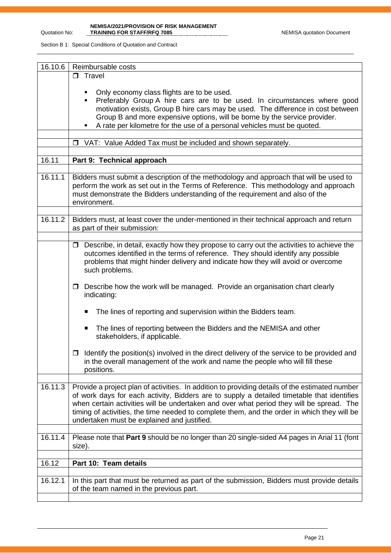**NEMISA/2021/PROVISION OF RISK MANAGEMENT TRAINING FOR STAFF/RFQ 7085** NEMISA quotation Document

| 16.10.6 | Reimbursable costs                                                                                                                                                                                                                                                                                                                                                                                                                     |  |  |  |  |
|---------|----------------------------------------------------------------------------------------------------------------------------------------------------------------------------------------------------------------------------------------------------------------------------------------------------------------------------------------------------------------------------------------------------------------------------------------|--|--|--|--|
|         | $\Box$ Travel                                                                                                                                                                                                                                                                                                                                                                                                                          |  |  |  |  |
|         | Only economy class flights are to be used.<br>Preferably Group A hire cars are to be used. In circumstances where good<br>motivation exists, Group B hire cars may be used. The difference in cost between<br>Group B and more expensive options, will be borne by the service provider.<br>A rate per kilometre for the use of a personal vehicles must be quoted.                                                                    |  |  |  |  |
|         | VAT: Value Added Tax must be included and shown separately.<br>$\Box$                                                                                                                                                                                                                                                                                                                                                                  |  |  |  |  |
|         |                                                                                                                                                                                                                                                                                                                                                                                                                                        |  |  |  |  |
| 16.11   | Part 9: Technical approach                                                                                                                                                                                                                                                                                                                                                                                                             |  |  |  |  |
|         |                                                                                                                                                                                                                                                                                                                                                                                                                                        |  |  |  |  |
| 16.11.1 | Bidders must submit a description of the methodology and approach that will be used to<br>perform the work as set out in the Terms of Reference. This methodology and approach<br>must demonstrate the Bidders understanding of the requirement and also of the<br>environment.                                                                                                                                                        |  |  |  |  |
|         |                                                                                                                                                                                                                                                                                                                                                                                                                                        |  |  |  |  |
| 16.11.2 | Bidders must, at least cover the under-mentioned in their technical approach and return<br>as part of their submission:                                                                                                                                                                                                                                                                                                                |  |  |  |  |
|         |                                                                                                                                                                                                                                                                                                                                                                                                                                        |  |  |  |  |
|         | $\Box$ Describe, in detail, exactly how they propose to carry out the activities to achieve the<br>outcomes identified in the terms of reference. They should identify any possible<br>problems that might hinder delivery and indicate how they will avoid or overcome<br>such problems.                                                                                                                                              |  |  |  |  |
|         | Describe how the work will be managed. Provide an organisation chart clearly<br>□<br>indicating:                                                                                                                                                                                                                                                                                                                                       |  |  |  |  |
|         | The lines of reporting and supervision within the Bidders team.<br>п                                                                                                                                                                                                                                                                                                                                                                   |  |  |  |  |
|         | The lines of reporting between the Bidders and the NEMISA and other<br>п<br>stakeholders, if applicable.                                                                                                                                                                                                                                                                                                                               |  |  |  |  |
|         | Identify the position(s) involved in the direct delivery of the service to be provided and<br>□<br>in the overall management of the work and name the people who will fill these<br>positions.                                                                                                                                                                                                                                         |  |  |  |  |
| 16.11.3 | Provide a project plan of activities. In addition to providing details of the estimated number<br>of work days for each activity, Bidders are to supply a detailed timetable that identifies<br>when certain activities will be undertaken and over what period they will be spread. The<br>timing of activities, the time needed to complete them, and the order in which they will be<br>undertaken must be explained and justified. |  |  |  |  |
| 16.11.4 | Please note that Part 9 should be no longer than 20 single-sided A4 pages in Arial 11 (font<br>size).                                                                                                                                                                                                                                                                                                                                  |  |  |  |  |
|         |                                                                                                                                                                                                                                                                                                                                                                                                                                        |  |  |  |  |
| 16.12   | Part 10: Team details                                                                                                                                                                                                                                                                                                                                                                                                                  |  |  |  |  |
| 16.12.1 | In this part that must be returned as part of the submission, Bidders must provide details<br>of the team named in the previous part.                                                                                                                                                                                                                                                                                                  |  |  |  |  |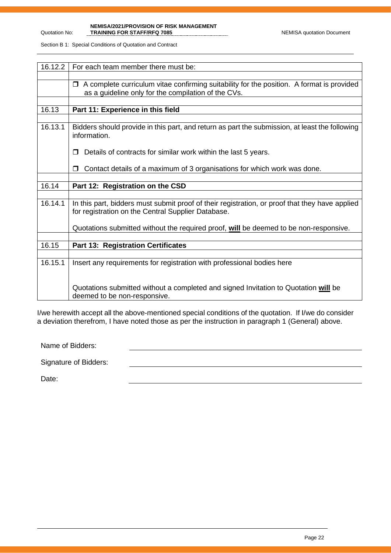**NEMISA/2021/PROVISION OF RISK MANAGEMENT TRAINING FOR STAFF/RFQ 7085** NEMISA quotation Document

Section B 1: Special Conditions of Quotation and Contract

| 16.12.2 | For each team member there must be:                                                                                                                        |
|---------|------------------------------------------------------------------------------------------------------------------------------------------------------------|
|         |                                                                                                                                                            |
|         | A complete curriculum vitae confirming suitability for the position. A format is provided<br>$\Box$<br>as a guideline only for the compilation of the CVs. |
|         |                                                                                                                                                            |
| 16.13   | Part 11: Experience in this field                                                                                                                          |
|         |                                                                                                                                                            |
| 16.13.1 | Bidders should provide in this part, and return as part the submission, at least the following<br>information.                                             |
|         | Details of contracts for similar work within the last 5 years.                                                                                             |
|         | Contact details of a maximum of 3 organisations for which work was done.                                                                                   |
|         |                                                                                                                                                            |
| 16.14   | Part 12: Registration on the CSD                                                                                                                           |
|         |                                                                                                                                                            |
| 16.14.1 | In this part, bidders must submit proof of their registration, or proof that they have applied<br>for registration on the Central Supplier Database.       |
|         | Quotations submitted without the required proof, will be deemed to be non-responsive.                                                                      |
|         |                                                                                                                                                            |
| 16.15   | <b>Part 13: Registration Certificates</b>                                                                                                                  |
|         |                                                                                                                                                            |
| 16.15.1 | Insert any requirements for registration with professional bodies here                                                                                     |
|         | Quotations submitted without a completed and signed Invitation to Quotation will be<br>deemed to be non-responsive.                                        |

I/we herewith accept all the above-mentioned special conditions of the quotation. If I/we do consider a deviation therefrom, I have noted those as per the instruction in paragraph 1 (General) above.

Name of Bidders:

Signature of Bidders:

Date: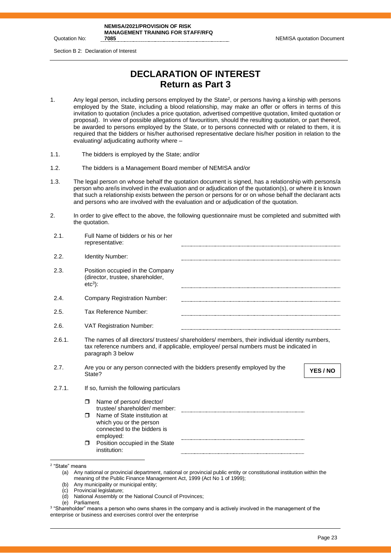**NEMISA/2021/PROVISION OF RISK MANAGEMENT TRAINING FOR STAFF/RFQ** 

**NEMISA quotation Document** 

Section B 2: Declaration of Interest

# **DECLARATION OF INTEREST Return as Part 3**

- 1. Any legal person, including persons employed by the State<sup>2</sup>, or persons having a kinship with persons employed by the State, including a blood relationship, may make an offer or offers in terms of this invitation to quotation (includes a price quotation, advertised competitive quotation, limited quotation or proposal). In view of possible allegations of favouritism, should the resulting quotation, or part thereof, be awarded to persons employed by the State, or to persons connected with or related to them, it is required that the bidders or his/her authorised representative declare his/her position in relation to the evaluating/ adjudicating authority where –
- 1.1. The bidders is employed by the State; and/or
- 1.2. The bidders is a Management Board member of NEMISA and/or
- 1.3. The legal person on whose behalf the quotation document is signed, has a relationship with persons/a person who are/is involved in the evaluation and or adjudication of the quotation(s), or where it is known that such a relationship exists between the person or persons for or on whose behalf the declarant acts and persons who are involved with the evaluation and or adjudication of the quotation.
- 2. In order to give effect to the above, the following questionnaire must be completed and submitted with the quotation.

| 2.1.                                                                            | Full Name of bidders or his or her<br>representative:                                                                                                                                                                                                                                                                                                                                                                                                           |
|---------------------------------------------------------------------------------|-----------------------------------------------------------------------------------------------------------------------------------------------------------------------------------------------------------------------------------------------------------------------------------------------------------------------------------------------------------------------------------------------------------------------------------------------------------------|
| 2.2.                                                                            | Identity Number:                                                                                                                                                                                                                                                                                                                                                                                                                                                |
| 2.3.                                                                            | Position occupied in the Company<br>(director, trustee, shareholder,<br>$etc3$ :                                                                                                                                                                                                                                                                                                                                                                                |
| 2.4.                                                                            | <b>Company Registration Number:</b>                                                                                                                                                                                                                                                                                                                                                                                                                             |
| 2.5.                                                                            | Tax Reference Number:                                                                                                                                                                                                                                                                                                                                                                                                                                           |
| 2.6.                                                                            | VAT Registration Number:                                                                                                                                                                                                                                                                                                                                                                                                                                        |
| 2.6.1.                                                                          | The names of all directors/ trustees/ shareholders/ members, their individual identity numbers,<br>tax reference numbers and, if applicable, employee/ persal numbers must be indicated in<br>paragraph 3 below                                                                                                                                                                                                                                                 |
| 2.7.                                                                            | Are you or any person connected with the bidders presently employed by the<br>YES / NO<br>State?                                                                                                                                                                                                                                                                                                                                                                |
| 2.7.1.                                                                          | If so, furnish the following particulars                                                                                                                                                                                                                                                                                                                                                                                                                        |
|                                                                                 | Name of person/ director/<br>σ<br>trustee/shareholder/member:<br>Name of State institution at<br>⊓<br>which you or the person<br>connected to the bidders is<br>employed:<br>Position occupied in the State<br>$\Box$<br>institution:                                                                                                                                                                                                                           |
| <sup>2</sup> "State" means<br>(a)<br>(b)<br>(c)<br>(d)<br>(e)<br>2 <sub>4</sub> | Any national or provincial department, national or provincial public entity or constitutional institution within the<br>meaning of the Public Finance Management Act, 1999 (Act No 1 of 1999);<br>Any municipality or municipal entity;<br>Provincial legislature;<br>National Assembly or the National Council of Provinces;<br>Parliament.<br>the contract of the contract of the contract of the contract of the contract of the contract of the contract of |

 $^3$  "Shareholder" means a person who owns shares in the company and is actively involved in the management of the enterprise or business and exercises control over the enterprise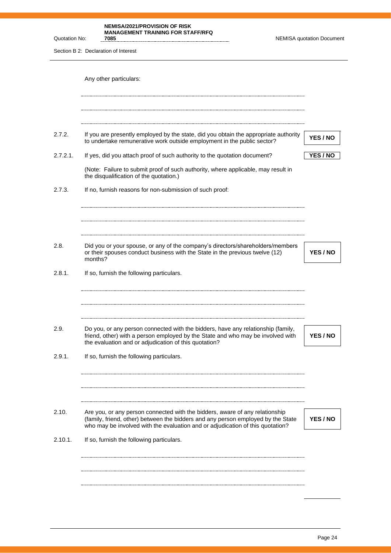**NEMISA/2021/PROVISION OF RISK MANAGEMENT TRAINING FOR STAFF/RFQ** 

**7085** NEMISA quotation Document

Section B 2: Declaration of Interest

Quotation No:

|          | Any other particulars:                                                                                                                                                                                                                             |                 |
|----------|----------------------------------------------------------------------------------------------------------------------------------------------------------------------------------------------------------------------------------------------------|-----------------|
|          |                                                                                                                                                                                                                                                    |                 |
| 2.7.2.   | If you are presently employed by the state, did you obtain the appropriate authority<br>to undertake remunerative work outside employment in the public sector?                                                                                    | YES / NO        |
| 2.7.2.1. | If yes, did you attach proof of such authority to the quotation document?                                                                                                                                                                          | YES / NO        |
|          | (Note: Failure to submit proof of such authority, where applicable, may result in<br>the disqualification of the quotation.)                                                                                                                       |                 |
| 2.7.3.   | If no, furnish reasons for non-submission of such proof:                                                                                                                                                                                           |                 |
|          |                                                                                                                                                                                                                                                    |                 |
| 2.8.     | Did you or your spouse, or any of the company's directors/shareholders/members<br>or their spouses conduct business with the State in the previous twelve (12)<br>months?                                                                          | YES / NO        |
| 2.8.1.   | If so, furnish the following particulars.                                                                                                                                                                                                          |                 |
| 2.9.     | Do you, or any person connected with the bidders, have any relationship (family,<br>friend, other) with a person employed by the State and who may be involved with<br>the evaluation and or adjudication of this quotation?                       | YES / NO        |
| 2.9.1.   | If so, furnish the following particulars.                                                                                                                                                                                                          |                 |
| 2.10.    | Are you, or any person connected with the bidders, aware of any relationship<br>(family, friend, other) between the bidders and any person employed by the State<br>who may be involved with the evaluation and or adjudication of this quotation? | <b>YES / NO</b> |
| 2.10.1.  | If so, furnish the following particulars.                                                                                                                                                                                                          |                 |
|          |                                                                                                                                                                                                                                                    |                 |
|          |                                                                                                                                                                                                                                                    |                 |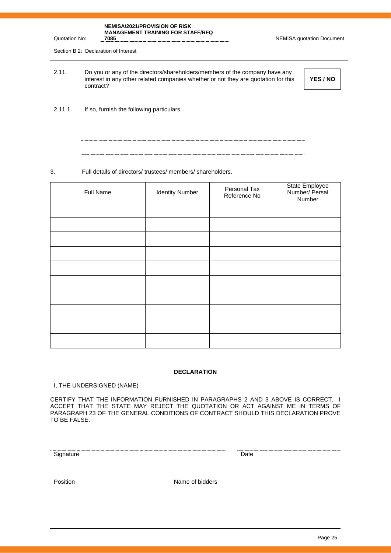#### **NEMISA/2021/PROVISION OF RISK MANAGEMENT TRAINING FOR STAFF/RFQ**

**NEMISA quotation Document** 

Section B 2: Declaration of Interest

Quotation No:

2.11. Do you or any of the directors/shareholders/members of the company have any interest in any other related companies whether or not they are quotation for this contract?

**YES / NO**

2.11.1. If so, furnish the following particulars.

#### 3. Full details of directors/ trustees/ members/ shareholders.

| Full Name | <b>Identity Number</b> | Personal Tax<br>Reference No | State Employee<br>Number/ Persal<br>Number |
|-----------|------------------------|------------------------------|--------------------------------------------|
|           |                        |                              |                                            |
|           |                        |                              |                                            |
|           |                        |                              |                                            |
|           |                        |                              |                                            |
|           |                        |                              |                                            |
|           |                        |                              |                                            |
|           |                        |                              |                                            |
|           |                        |                              |                                            |
|           |                        |                              |                                            |
|           |                        |                              |                                            |

#### **DECLARATION**

I, THE UNDERSIGNED (NAME)

CERTIFY THAT THE INFORMATION FURNISHED IN PARAGRAPHS 2 AND 3 ABOVE IS CORRECT. I ACCEPT THAT THE STATE MAY REJECT THE QUOTATION OR ACT AGAINST ME IN TERMS OF PARAGRAPH 23 OF THE GENERAL CONDITIONS OF CONTRACT SHOULD THIS DECLARATION PROVE TO BE FALSE.

Signature Date Date

Position Name of bidders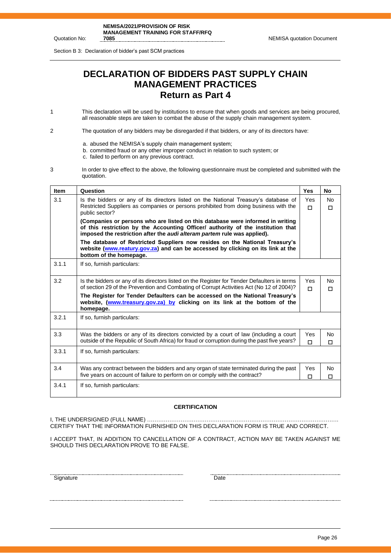Section B 3: Declaration of bidder's past SCM practices

# **DECLARATION OF BIDDERS PAST SUPPLY CHAIN MANAGEMENT PRACTICES Return as Part 4**

1 This declaration will be used by institutions to ensure that when goods and services are being procured, all reasonable steps are taken to combat the abuse of the supply chain management system.

2 The quotation of any bidders may be disregarded if that bidders, or any of its directors have:

- a. abused the NEMISA's supply chain management system;
- b. committed fraud or any other improper conduct in relation to such system; or
- c. failed to perform on any previous contract.
- 3 In order to give effect to the above, the following questionnaire must be completed and submitted with the quotation.

| <b>Item</b> | Question                                                                                                                                                                                                                                       | <b>Yes</b>    | <b>No</b>           |  |
|-------------|------------------------------------------------------------------------------------------------------------------------------------------------------------------------------------------------------------------------------------------------|---------------|---------------------|--|
| 3.1         | Is the bidders or any of its directors listed on the National Treasury's database of<br>Restricted Suppliers as companies or persons prohibited from doing business with the<br>public sector?                                                 | Yes<br>$\Box$ | <b>No</b><br>$\Box$ |  |
|             | (Companies or persons who are listed on this database were informed in writing<br>of this restriction by the Accounting Officer/ authority of the institution that<br>imposed the restriction after the audi alteram partem rule was applied). |               |                     |  |
|             | The database of Restricted Suppliers now resides on the National Treasury's<br>website (www.reatury.gov.za) and can be accessed by clicking on its link at the<br>bottom of the homepage.                                                      |               |                     |  |
| 3.1.1       | If so, furnish particulars:                                                                                                                                                                                                                    |               |                     |  |
| 3.2         | Is the bidders or any of its directors listed on the Register for Tender Defaulters in terms<br>of section 29 of the Prevention and Combating of Corrupt Activities Act (No 12 of 2004)?                                                       | Yes<br>п      | No.<br>П            |  |
|             | The Register for Tender Defaulters can be accessed on the National Treasury's<br>website, (www.treasury.gov.za) by clicking on its link at the bottom of the<br>homepage.                                                                      |               |                     |  |
| 3.2.1       | If so, furnish particulars:                                                                                                                                                                                                                    |               |                     |  |
| 3.3         | Was the bidders or any of its directors convicted by a court of law (including a court<br>outside of the Republic of South Africa) for fraud or corruption during the past five years?                                                         | Yes<br>п      | No.<br>П            |  |
| 3.3.1       | If so, furnish particulars:                                                                                                                                                                                                                    |               |                     |  |
| 3.4         | Was any contract between the bidders and any organ of state terminated during the past<br>five years on account of failure to perform on or comply with the contract?                                                                          | Yes<br>П      | No.<br>П            |  |
| 3.4.1       | If so, furnish particulars:                                                                                                                                                                                                                    |               |                     |  |

#### **CERTIFICATION**

I, THE UNDERSIGNED (FULL NAME) …………………………………………………………………………………………. CERTIFY THAT THE INFORMATION FURNISHED ON THIS DECLARATION FORM IS TRUE AND CORRECT.

I ACCEPT THAT, IN ADDITION TO CANCELLATION OF A CONTRACT, ACTION MAY BE TAKEN AGAINST ME SHOULD THIS DECLARATION PROVE TO BE FALSE.

Signature Date Date Date Date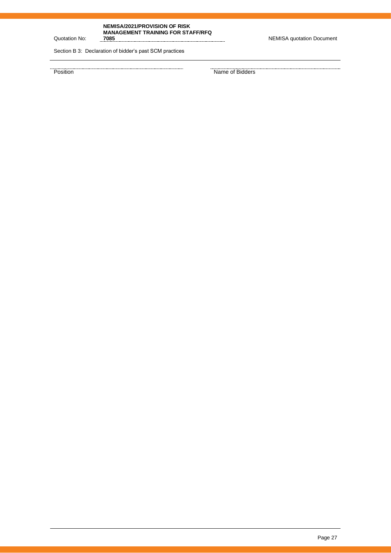#### **NEMISA/2021/PROVISION OF RISK MANAGEMENT TRAINING FOR STAFF/RFQ**

Quotation No:

**7085** NEMISA quotation Document

. . . . . . . . . . . . . . . . . . . .

Section B 3: Declaration of bidder's past SCM practices

entity and the summary of the state of Bidders and the Position of Bidders and the Position of Bidders and the Position of Bidders and the Position of Bidders and the Position of Bidders and the Position of Bidders and the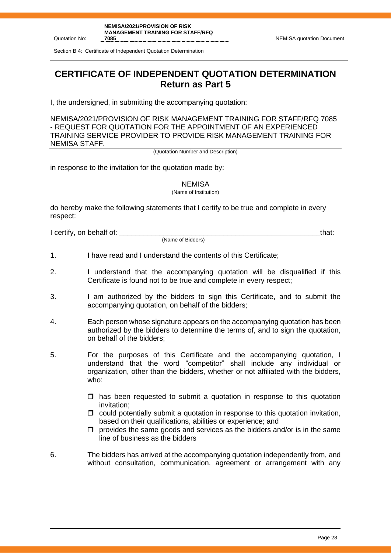Section B 4: Certificate of Independent Quotation Determination

**CERTIFICATE OF INDEPENDENT QUOTATION DETERMINATION Return as Part 5**

I, the undersigned, in submitting the accompanying quotation:

NEMISA/2021/PROVISION OF RISK MANAGEMENT TRAINING FOR STAFF/RFQ 7085 - REQUEST FOR QUOTATION FOR THE APPOINTMENT OF AN EXPERIENCED TRAINING SERVICE PROVIDER TO PROVIDE RISK MANAGEMENT TRAINING FOR NEMISA STAFF.

(Quotation Number and Description)

in response to the invitation for the quotation made by:

**NEMISA** 

(Name of Institution)

do hereby make the following statements that I certify to be true and complete in every respect:

I certify, on behalf of: \_\_\_\_\_\_\_\_\_\_\_\_\_\_\_\_\_\_\_\_\_\_\_\_\_\_\_\_\_\_\_\_\_\_\_\_\_\_\_\_\_\_\_\_\_\_\_\_\_\_that:

(Name of Bidders)

- 1. I have read and I understand the contents of this Certificate;
- 2. I understand that the accompanying quotation will be disqualified if this Certificate is found not to be true and complete in every respect;
- 3. I am authorized by the bidders to sign this Certificate, and to submit the accompanying quotation, on behalf of the bidders;
- 4. Each person whose signature appears on the accompanying quotation has been authorized by the bidders to determine the terms of, and to sign the quotation, on behalf of the bidders;
- 5. For the purposes of this Certificate and the accompanying quotation, I understand that the word "competitor" shall include any individual or organization, other than the bidders, whether or not affiliated with the bidders, who:
	- $\Box$  has been requested to submit a quotation in response to this quotation invitation;
	- $\Box$  could potentially submit a quotation in response to this quotation invitation, based on their qualifications, abilities or experience; and
	- $\Box$  provides the same goods and services as the bidders and/or is in the same line of business as the bidders
- 6. The bidders has arrived at the accompanying quotation independently from, and without consultation, communication, agreement or arrangement with any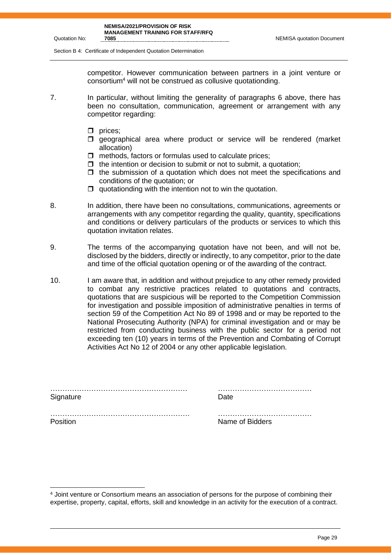**7085** NEMISA quotation Document

Section B 4: Certificate of Independent Quotation Determination

competitor. However communication between partners in a joint venture or consortium<sup>4</sup> will not be construed as collusive quotationding.

- 7. In particular, without limiting the generality of paragraphs 6 above, there has been no consultation, communication, agreement or arrangement with any competitor regarding:
	- $\Box$  prices;
	- $\square$  geographical area where product or service will be rendered (market allocation)
	- $\Box$  methods, factors or formulas used to calculate prices;
	- $\Box$  the intention or decision to submit or not to submit, a quotation:
	- $\Box$  the submission of a quotation which does not meet the specifications and conditions of the quotation; or
	- $\Box$  quotationding with the intention not to win the quotation.
- 8. In addition, there have been no consultations, communications, agreements or arrangements with any competitor regarding the quality, quantity, specifications and conditions or delivery particulars of the products or services to which this quotation invitation relates.
- 9. The terms of the accompanying quotation have not been, and will not be, disclosed by the bidders, directly or indirectly, to any competitor, prior to the date and time of the official quotation opening or of the awarding of the contract.
- 10. I am aware that, in addition and without prejudice to any other remedy provided to combat any restrictive practices related to quotations and contracts, quotations that are suspicious will be reported to the Competition Commission for investigation and possible imposition of administrative penalties in terms of section 59 of the Competition Act No 89 of 1998 and or may be reported to the National Prosecuting Authority (NPA) for criminal investigation and or may be restricted from conducting business with the public sector for a period not exceeding ten (10) years in terms of the Prevention and Combating of Corrupt Activities Act No 12 of 2004 or any other applicable legislation.

| Signature | <b>Date</b>     |
|-----------|-----------------|
|           |                 |
| Position  | Name of Bidders |

<sup>4</sup> Joint venture or Consortium means an association of persons for the purpose of combining their expertise, property, capital, efforts, skill and knowledge in an activity for the execution of a contract.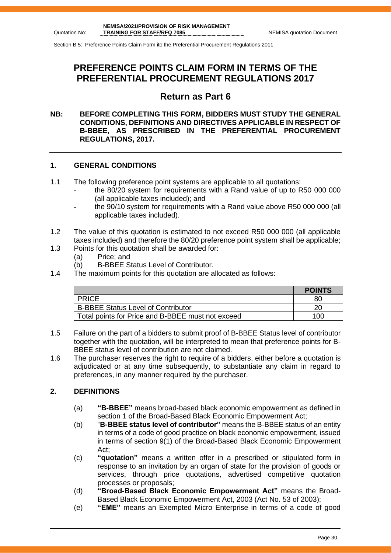Section B 5: Preference Points Claim Form ito the Preferential Procurement Regulations 2011

# **PREFERENCE POINTS CLAIM FORM IN TERMS OF THE PREFERENTIAL PROCUREMENT REGULATIONS 2017**

# **Return as Part 6**

#### **NB: BEFORE COMPLETING THIS FORM, BIDDERS MUST STUDY THE GENERAL CONDITIONS, DEFINITIONS AND DIRECTIVES APPLICABLE IN RESPECT OF B-BBEE, AS PRESCRIBED IN THE PREFERENTIAL PROCUREMENT REGULATIONS, 2017.**

#### **1. GENERAL CONDITIONS**

- 1.1 The following preference point systems are applicable to all quotations:
	- the 80/20 system for requirements with a Rand value of up to R50 000 000 (all applicable taxes included); and
	- the 90/10 system for requirements with a Rand value above R50 000 000 (all applicable taxes included).
- 1.2 The value of this quotation is estimated to not exceed R50 000 000 (all applicable taxes included) and therefore the 80/20 preference point system shall be applicable;
- 1.3 Points for this quotation shall be awarded for:
	- (a) Price; and
	- (b) B-BBEE Status Level of Contributor.
- 1.4 The maximum points for this quotation are allocated as follows:

|                                                   | <b>POINTS</b> |
|---------------------------------------------------|---------------|
| <b>PRICE</b>                                      | 80            |
| <b>B-BBEE Status Level of Contributor</b>         | 20            |
| Total points for Price and B-BBEE must not exceed | 100           |

- 1.5 Failure on the part of a bidders to submit proof of B-BBEE Status level of contributor together with the quotation, will be interpreted to mean that preference points for B-BBEE status level of contribution are not claimed.
- 1.6 The purchaser reserves the right to require of a bidders, either before a quotation is adjudicated or at any time subsequently, to substantiate any claim in regard to preferences, in any manner required by the purchaser.

#### **2. DEFINITIONS**

- (a) **"B-BBEE"** means broad-based black economic empowerment as defined in section 1 of the Broad-Based Black Economic Empowerment Act;
- (b) "**B-BBEE status level of contributor"** means the B-BBEE status of an entity in terms of a code of good practice on black economic empowerment, issued in terms of section 9(1) of the Broad-Based Black Economic Empowerment Act;
- (c) **"quotation"** means a written offer in a prescribed or stipulated form in response to an invitation by an organ of state for the provision of goods or services, through price quotations, advertised competitive quotation processes or proposals;
- (d) **"Broad-Based Black Economic Empowerment Act"** means the Broad-Based Black Economic Empowerment Act, 2003 (Act No. 53 of 2003);
- (e) **"EME"** means an Exempted Micro Enterprise in terms of a code of good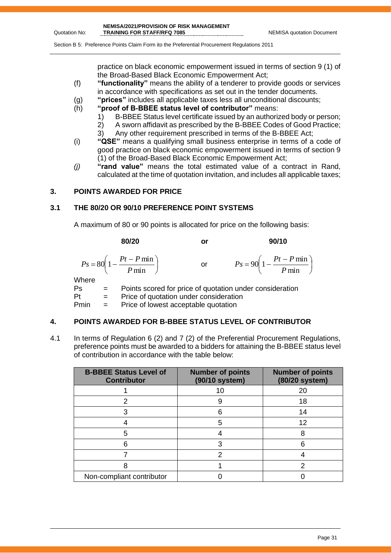$\overline{\phantom{a}}$  $\big)$ 

Section B 5: Preference Points Claim Form ito the Preferential Procurement Regulations 2011

practice on black economic empowerment issued in terms of section 9 (1) of the Broad-Based Black Economic Empowerment Act;

- (f) **"functionality"** means the ability of a tenderer to provide goods or services in accordance with specifications as set out in the tender documents.
- (g) **"prices"** includes all applicable taxes less all unconditional discounts;
- (h) **"proof of B-BBEE status level of contributor"** means:
	- 1) B-BBEE Status level certificate issued by an authorized body or person;
	- 2) A sworn affidavit as prescribed by the B-BBEE Codes of Good Practice;
	- 3) Any other requirement prescribed in terms of the B-BBEE Act;
- (i) **"QSE"** means a qualifying small business enterprise in terms of a code of good practice on black economic empowerment issued in terms of section 9 (1) of the Broad-Based Black Economic Empowerment Act;
- *(j)* **"rand value"** means the total estimated value of a contract in Rand, calculated at the time of quotation invitation, and includes all applicable taxes;

#### **3. POINTS AWARDED FOR PRICE**

#### **3.1 THE 80/20 OR 90/10 PREFERENCE POINT SYSTEMS**

A maximum of 80 or 90 points is allocated for price on the following basis:

**80/20 or 90/10**  $\overline{\phantom{a}}$ J  $\left(1-\frac{Pt-P\min}{R}\right)$  $\setminus$  $=80\left(1-\frac{Pt-}{\right)$ min  $80\left(1-\frac{Pt-P\min}{\sum_{i=1}^{n}H_i}\right)$ *P*  $P_s = 80 \left( 1 - \frac{Pt - P}{r} \right)$ or  $\left(1-\frac{Pt-P\min}{R}\right)$  $\setminus$  $= 90 \left( 1 - \frac{Pt - F}{T}\right)$ min  $90\left(1-\frac{Pt-P\min}{\sum_{i=1}^{n}H_i}\right)$ *P*  $P_s = 90 \left( 1 - \frac{Pt - P}{r} \right)$ **Where** 

Ps = Points scored for price of quotation under consideration  $Pt =$  Price of quotation under consideration

Pmin = Price of lowest acceptable quotation

#### **4. POINTS AWARDED FOR B-BBEE STATUS LEVEL OF CONTRIBUTOR**

4.1 In terms of Regulation 6 (2) and 7 (2) of the Preferential Procurement Regulations, preference points must be awarded to a bidders for attaining the B-BBEE status level of contribution in accordance with the table below:

| <b>B-BBEE Status Level of</b><br><b>Contributor</b> | <b>Number of points</b><br>(90/10 system) | <b>Number of points</b><br>(80/20 system) |
|-----------------------------------------------------|-------------------------------------------|-------------------------------------------|
|                                                     |                                           | 20                                        |
| 2                                                   | 9                                         | 18                                        |
|                                                     | 6                                         | 14                                        |
|                                                     | 5                                         | 12                                        |
| 5                                                   |                                           |                                           |
| 6                                                   | 3                                         | հ                                         |
|                                                     |                                           |                                           |
|                                                     |                                           |                                           |
| Non-compliant contributor                           |                                           |                                           |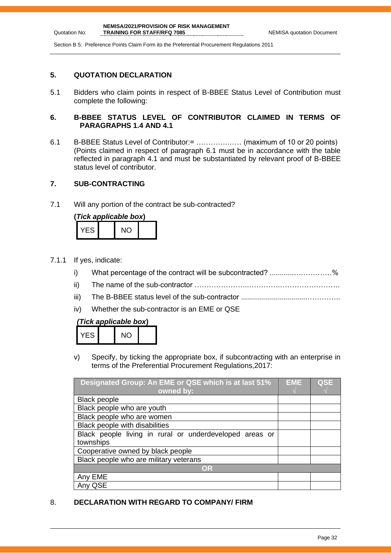Section B 5: Preference Points Claim Form ito the Preferential Procurement Regulations 2011

#### **5. QUOTATION DECLARATION**

Quotation No:

5.1 Bidders who claim points in respect of B-BBEE Status Level of Contribution must complete the following:

#### **6. B-BBEE STATUS LEVEL OF CONTRIBUTOR CLAIMED IN TERMS OF PARAGRAPHS 1.4 AND 4.1**

6.1 B-BBEE Status Level of Contributor:= ………….…… (maximum of 10 or 20 points) (Points claimed in respect of paragraph 6.1 must be in accordance with the table reflected in paragraph 4.1 and must be substantiated by relevant proof of B-BBEE status level of contributor.

#### **7. SUB-CONTRACTING**

7.1 Will any portion of the contract be sub-contracted?

| (Tick applicable box) |  |     |  |  |  |
|-----------------------|--|-----|--|--|--|
| YES.                  |  | NO. |  |  |  |

- 7.1.1 If yes, indicate:
	- i) What percentage of the contract will be subcontracted? ............….…………%
	- ii) The name of the sub-contractor …………………..………….…………………….
	- iii) The B-BBEE status level of the sub-contractor .................................…………..
	- iv) Whether the sub-contractor is an EME or QSE

#### *(Tick applicable box***)**

| -5 | NC. |  |
|----|-----|--|
|    |     |  |

v) Specify, by ticking the appropriate box, if subcontracting with an enterprise in terms of the Preferential Procurement Regulations,2017:

| Designated Group: An EME or QSE which is at last 51%    | <b>EME</b> | <b>QSE</b> |
|---------------------------------------------------------|------------|------------|
| owned by:                                               |            |            |
| <b>Black people</b>                                     |            |            |
| Black people who are youth                              |            |            |
| Black people who are women                              |            |            |
| Black people with disabilities                          |            |            |
| Black people living in rural or underdeveloped areas or |            |            |
| townships                                               |            |            |
| Cooperative owned by black people                       |            |            |
| Black people who are military veterans                  |            |            |
| OR                                                      |            |            |
| Any EME                                                 |            |            |
| Any QSE                                                 |            |            |

#### 8. **DECLARATION WITH REGARD TO COMPANY/ FIRM**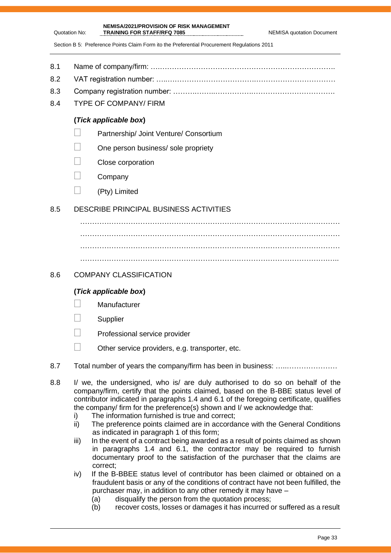Section B 5: Preference Points Claim Form ito the Preferential Procurement Regulations 2011

**NEMISA/2021/PROVISION OF RISK MANAGEMENT** 

- 8.1 Name of company/firm: ….……………………………………………………………….
- 8.2 VAT registration number: …..……………………………….……………………………
- 8.3 Company registration number: ……….……..…………….…………………………….
- 8.4 TYPE OF COMPANY/ FIRM

Quotation No:

#### **(***Tick applicable box***)**

- **Partnership/ Joint Venture/ Consortium**
- $\Box$  One person business/ sole propriety
- Close corporation
- $\Box$  Company
- $\Box$  (Pty) Limited

#### 8.5 DESCRIBE PRINCIPAL BUSINESS ACTIVITIES

……………………………………………………………………………………………… ……………………………………………………………………………………………… ………………………………………………………………………………………………

#### 8.6 COMPANY CLASSIFICATION

#### **(***Tick applicable box***)**

- **Manufacturer**
- **Supplier**
- Professional service provider
- $\Box$  Other service providers, e.g. transporter, etc.
- 8.7 Total number of years the company/firm has been in business: ………………………
- 8.8 I/ we, the undersigned, who is/ are duly authorised to do so on behalf of the company/firm, certify that the points claimed, based on the B-BBE status level of contributor indicated in paragraphs 1.4 and 6.1 of the foregoing certificate, qualifies the company/ firm for the preference(s) shown and I/ we acknowledge that:
	- i) The information furnished is true and correct;
	- ii) The preference points claimed are in accordance with the General Conditions as indicated in paragraph 1 of this form;
	- iii) In the event of a contract being awarded as a result of points claimed as shown in paragraphs 1.4 and 6.1, the contractor may be required to furnish documentary proof to the satisfaction of the purchaser that the claims are correct;
	- iv) If the B-BBEE status level of contributor has been claimed or obtained on a fraudulent basis or any of the conditions of contract have not been fulfilled, the purchaser may, in addition to any other remedy it may have –
		- (a) disqualify the person from the quotation process;
		- (b) recover costs, losses or damages it has incurred or suffered as a result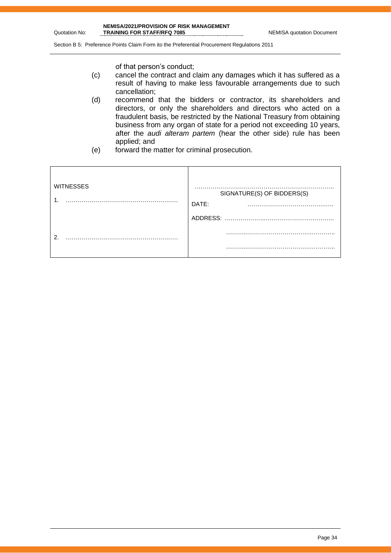Section B 5: Preference Points Claim Form ito the Preferential Procurement Regulations 2011

of that person's conduct;

- (c) cancel the contract and claim any damages which it has suffered as a result of having to make less favourable arrangements due to such cancellation;
- (d) recommend that the bidders or contractor, its shareholders and directors, or only the shareholders and directors who acted on a fraudulent basis, be restricted by the National Treasury from obtaining business from any organ of state for a period not exceeding 10 years, after the *audi alteram partem* (hear the other side) rule has been applied; and
- (e) forward the matter for criminal prosecution.

| <b>WITNESSES</b> | SIGNATURE(S) OF BIDDERS(S)<br>DATE: |
|------------------|-------------------------------------|
|                  | ADDRESS:                            |
| ົ                | .                                   |
|                  | .                                   |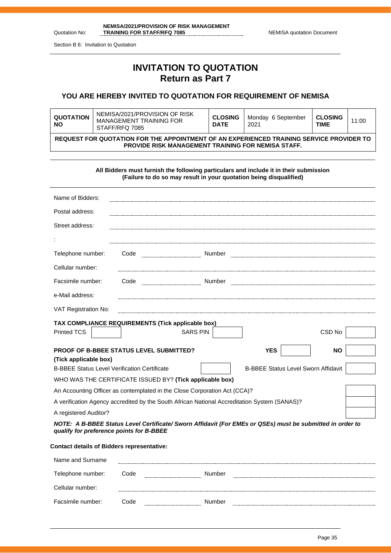| NEMISA/2021/PROVISION OF RISK MANAGEMENT |                                  |
|------------------------------------------|----------------------------------|
| <b>TRAINING FOR STAFF/RFQ 7085</b>       | <b>NEMISA quotation Document</b> |

Section B 6: Invitation to Quotation

Quotation No:

# **INVITATION TO QUOTATION Return as Part 7**

#### **YOU ARE HEREBY INVITED TO QUOTATION FOR REQUIREMENT OF NEMISA**

| <b>QUOTATION</b><br><b>NO</b>                                                                                                                         | NEMISA/2021/PROVISION OF RISK<br>MANAGEMENT TRAINING FOR<br>STAFF/RFQ 7085 | <b>CLOSING</b><br><b>DATE</b> | Monday 6 September<br>2021 | <b>CLOSING</b><br>TIME | 11:00 |
|-------------------------------------------------------------------------------------------------------------------------------------------------------|----------------------------------------------------------------------------|-------------------------------|----------------------------|------------------------|-------|
| REQUEST FOR QUOTATION FOR THE APPOINTMENT OF AN EXPERIENCED TRAINING SERVICE PROVIDER TO<br><b>PROVIDE RISK MANAGEMENT TRAINING FOR NEMISA STAFF.</b> |                                                                            |                               |                            |                        |       |

**All Bidders must furnish the following particulars and include it in their submission (Failure to do so may result in your quotation being disqualified)**

| Name of Bidders:                                                                                                                                      |                                                                           |                                                          |                                            |           |  |
|-------------------------------------------------------------------------------------------------------------------------------------------------------|---------------------------------------------------------------------------|----------------------------------------------------------|--------------------------------------------|-----------|--|
| Postal address:                                                                                                                                       |                                                                           |                                                          |                                            |           |  |
| Street address:                                                                                                                                       |                                                                           |                                                          |                                            |           |  |
|                                                                                                                                                       |                                                                           |                                                          |                                            |           |  |
| Telephone number:                                                                                                                                     | Code                                                                      |                                                          |                                            |           |  |
| Cellular number:                                                                                                                                      |                                                                           |                                                          |                                            |           |  |
| Facsimile number:                                                                                                                                     | Code                                                                      |                                                          |                                            |           |  |
| e-Mail address:                                                                                                                                       |                                                                           |                                                          |                                            |           |  |
| VAT Registration No:                                                                                                                                  |                                                                           |                                                          |                                            |           |  |
| TAX COMPLIANCE REQUIREMENTS (Tick applicable box)<br>Printed TCS                                                                                      |                                                                           | <b>SARS PIN</b>                                          |                                            | CSD No    |  |
|                                                                                                                                                       |                                                                           |                                                          |                                            |           |  |
| <b>PROOF OF B-BBEE STATUS LEVEL SUBMITTED?</b>                                                                                                        |                                                                           |                                                          | <b>YES</b>                                 | <b>NO</b> |  |
| (Tick applicable box)                                                                                                                                 |                                                                           |                                                          |                                            |           |  |
| <b>B-BBEE Status Level Verification Certificate</b>                                                                                                   |                                                                           |                                                          | <b>B-BBEE Status Level Sworn Affidavit</b> |           |  |
|                                                                                                                                                       |                                                                           | WHO WAS THE CERTIFICATE ISSUED BY? (Tick applicable box) |                                            |           |  |
|                                                                                                                                                       | An Accounting Officer as contemplated in the Close Corporation Act (CCA)? |                                                          |                                            |           |  |
| A verification Agency accredited by the South African National Accreditation System (SANAS)?                                                          |                                                                           |                                                          |                                            |           |  |
| A registered Auditor?                                                                                                                                 |                                                                           |                                                          |                                            |           |  |
| NOTE: A B-BBEE Status Level Certificate/ Sworn Affidavit (For EMEs or QSEs) must be submitted in order to<br>qualify for preference points for B-BBEE |                                                                           |                                                          |                                            |           |  |
| <b>Contact details of Bidders representative:</b>                                                                                                     |                                                                           |                                                          |                                            |           |  |
| Name and Surname                                                                                                                                      |                                                                           |                                                          |                                            |           |  |

| Telephone number: | Code                | Number |  |
|-------------------|---------------------|--------|--|
| Cellular number:  | ------------------- |        |  |
| Facsimile number: | Code                | Number |  |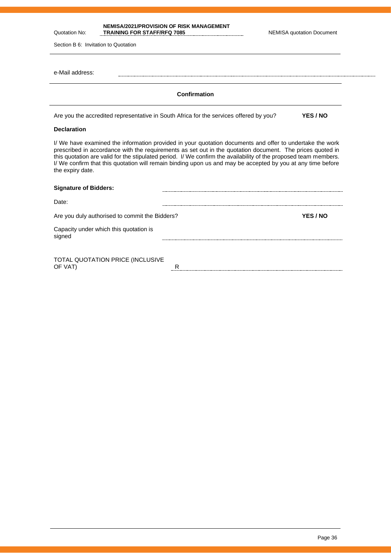Quotation No: **NEMISA/2021/PROVISION OF RISK MANAGEMENT**  TRAINING FOR STAFF/RFQ 7085 NEMISA quotation Document

| Section B 6: Invitation to Quotation                                                                                                                                                                                                                                                                                                                                                                                                                                         |          |
|------------------------------------------------------------------------------------------------------------------------------------------------------------------------------------------------------------------------------------------------------------------------------------------------------------------------------------------------------------------------------------------------------------------------------------------------------------------------------|----------|
| e-Mail address:                                                                                                                                                                                                                                                                                                                                                                                                                                                              |          |
| <b>Confirmation</b>                                                                                                                                                                                                                                                                                                                                                                                                                                                          |          |
| Are you the accredited representative in South Africa for the services offered by you?                                                                                                                                                                                                                                                                                                                                                                                       | YES / NO |
| <b>Declaration</b>                                                                                                                                                                                                                                                                                                                                                                                                                                                           |          |
| I/ We have examined the information provided in your quotation documents and offer to undertake the work<br>prescribed in accordance with the requirements as set out in the quotation document. The prices quoted in<br>this quotation are valid for the stipulated period. I/ We confirm the availability of the proposed team members.<br>I/ We confirm that this quotation will remain binding upon us and may be accepted by you at any time before<br>the expiry date. |          |
| <b>Signature of Bidders:</b>                                                                                                                                                                                                                                                                                                                                                                                                                                                 |          |
| Date:                                                                                                                                                                                                                                                                                                                                                                                                                                                                        |          |

| Are you duly authorised to commit the Bidders?   | YES / NO |
|--------------------------------------------------|----------|
| Capacity under which this quotation is<br>signed |          |

TOTAL QUOTATION PRICE (INCLUSIVE OF VAT)  $\qquad \qquad \overline{R}$ 

.....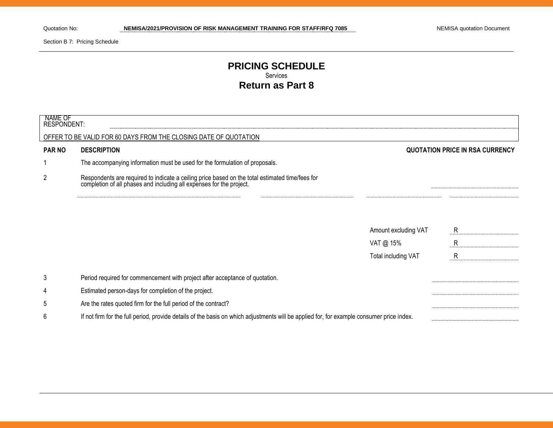Section B 7: Pricing Schedule

#### **PRICING SCHEDULE** Services **Return as Part 8**

| NAME OF<br>RESPONDENT: |                                                                                                                                                                      |                      |                                        |
|------------------------|----------------------------------------------------------------------------------------------------------------------------------------------------------------------|----------------------|----------------------------------------|
|                        | OFFER TO BE VALID FOR 60 DAYS FROM THE CLOSING DATE OF QUOTATION                                                                                                     |                      |                                        |
| <b>PAR NO</b>          | <b>DESCRIPTION</b>                                                                                                                                                   |                      | <b>QUOTATION PRICE IN RSA CURRENCY</b> |
|                        | The accompanying information must be used for the formulation of proposals.                                                                                          |                      |                                        |
| $\overline{2}$         | Respondents are required to indicate a ceiling price based on the total estimated time/fees for completion of all phases and including all expenses for the project. |                      |                                        |
|                        |                                                                                                                                                                      |                      |                                        |
|                        |                                                                                                                                                                      | Amount excluding VAT | R                                      |
|                        |                                                                                                                                                                      | VAT @ 15%            | R                                      |
|                        |                                                                                                                                                                      | Total including VAT  | $\mathsf{R}$                           |
| 3                      | Period required for commencement with project after acceptance of quotation.                                                                                         |                      |                                        |
| 4                      | Estimated person-days for completion of the project.                                                                                                                 |                      |                                        |
| 5                      | Are the rates quoted firm for the full period of the contract?                                                                                                       |                      |                                        |
| 6                      | If not firm for the full period, provide details of the basis on which adjustments will be applied for, for example consumer price index.                            |                      |                                        |